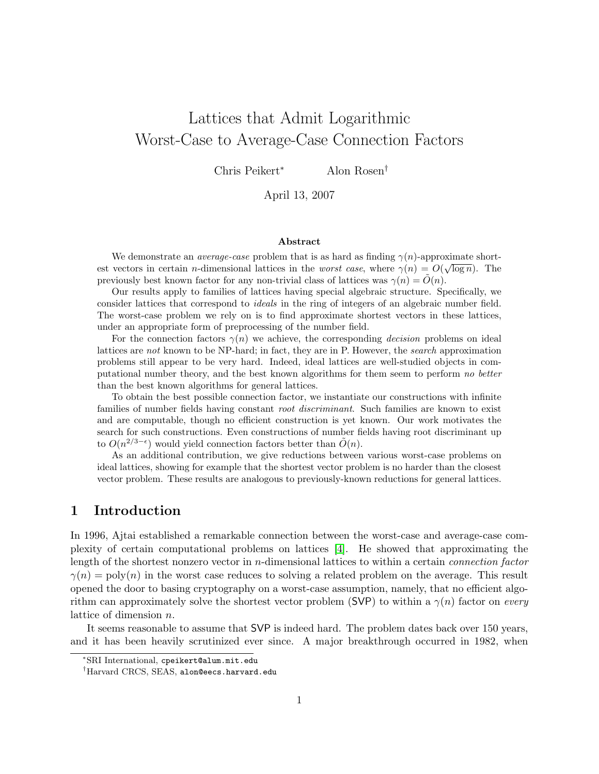# Lattices that Admit Logarithmic Worst-Case to Average-Case Connection Factors

Chris Peikert<sup>∗</sup> Alon Rosen†

April 13, 2007

#### Abstract

We demonstrate an *average-case* problem that is as hard as finding  $\gamma(n)$ -approximate shortest vectors in certain *n*-dimensional lattices in the *worst case*, where  $\gamma(n) = O(\sqrt{\log n})$ . The previously best known factor for any non-trivial class of lattices was  $\gamma(n) = O(n)$ .

Our results apply to families of lattices having special algebraic structure. Specifically, we consider lattices that correspond to ideals in the ring of integers of an algebraic number field. The worst-case problem we rely on is to find approximate shortest vectors in these lattices, under an appropriate form of preprocessing of the number field.

For the connection factors  $\gamma(n)$  we achieve, the corresponding *decision* problems on ideal lattices are not known to be NP-hard; in fact, they are in P. However, the search approximation problems still appear to be very hard. Indeed, ideal lattices are well-studied objects in computational number theory, and the best known algorithms for them seem to perform no better than the best known algorithms for general lattices.

To obtain the best possible connection factor, we instantiate our constructions with infinite families of number fields having constant *root discriminant*. Such families are known to exist and are computable, though no efficient construction is yet known. Our work motivates the search for such constructions. Even constructions of number fields having root discriminant up to  $O(n^{2/3-\epsilon})$  would yield connection factors better than  $\tilde{O}(n)$ .

As an additional contribution, we give reductions between various worst-case problems on ideal lattices, showing for example that the shortest vector problem is no harder than the closest vector problem. These results are analogous to previously-known reductions for general lattices.

## 1 Introduction

In 1996, Ajtai established a remarkable connection between the worst-case and average-case complexity of certain computational problems on lattices [\[4\]](#page-27-0). He showed that approximating the length of the shortest nonzero vector in *n*-dimensional lattices to within a certain *connection factor*  $\gamma(n) = \text{poly}(n)$  in the worst case reduces to solving a related problem on the average. This result opened the door to basing cryptography on a worst-case assumption, namely, that no efficient algorithm can approximately solve the shortest vector problem (SVP) to within a  $\gamma(n)$  factor on every lattice of dimension n.

It seems reasonable to assume that SVP is indeed hard. The problem dates back over 150 years, and it has been heavily scrutinized ever since. A major breakthrough occurred in 1982, when

<sup>∗</sup>SRI International, cpeikert@alum.mit.edu

<sup>†</sup>Harvard CRCS, SEAS, alon@eecs.harvard.edu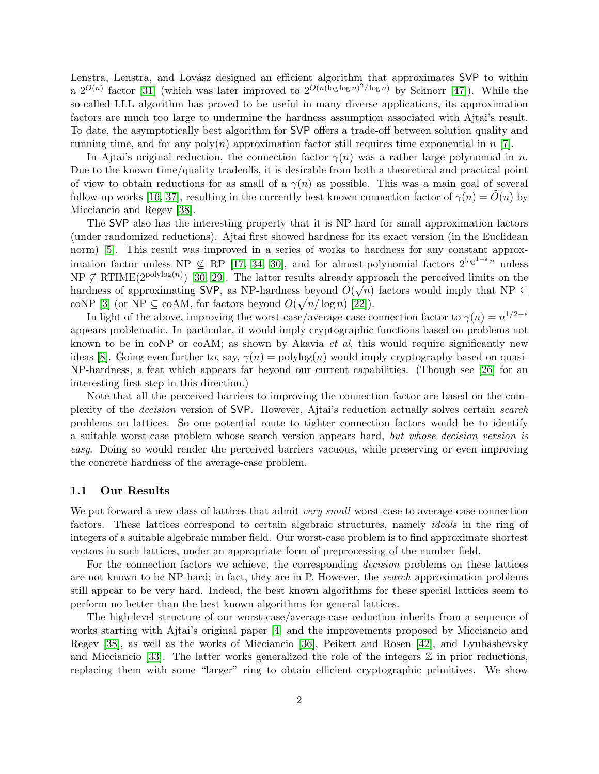Lenstra, Lenstra, and Lovász designed an efficient algorithm that approximates SVP to within a  $2^{O(n)}$  factor [\[31\]](#page-29-0) (which was later improved to  $2^{O(n(\log \log n)^2/\log n)}$  by Schnorr [\[47\]](#page-30-0)). While the so-called LLL algorithm has proved to be useful in many diverse applications, its approximation factors are much too large to undermine the hardness assumption associated with Ajtai's result. To date, the asymptotically best algorithm for SVP offers a trade-off between solution quality and running time, and for any  $poly(n)$  approximation factor still requires time exponential in n [\[7\]](#page-27-1).

In Ajtai's original reduction, the connection factor  $\gamma(n)$  was a rather large polynomial in n. Due to the known time/quality tradeoffs, it is desirable from both a theoretical and practical point of view to obtain reductions for as small of a  $\gamma(n)$  as possible. This was a main goal of several follow-up works [\[16,](#page-28-0) [37\]](#page-29-1), resulting in the currently best known connection factor of  $\gamma(n) = O(n)$  by Micciancio and Regev [\[38\]](#page-29-2).

The SVP also has the interesting property that it is NP-hard for small approximation factors (under randomized reductions). Ajtai first showed hardness for its exact version (in the Euclidean norm) [\[5\]](#page-27-2). This result was improved in a series of works to hardness for any constant approximation factor unless NP  $\varphi$  RP [\[17,](#page-28-1) [34,](#page-29-3) [30\]](#page-29-4), and for almost-polynomial factors  $2^{\log^{1-\epsilon} n}$  unless  $NP \nsubseteq RTIME(2^{polylog(n)})$  [\[30,](#page-29-4) [29\]](#page-29-5). The latter results already approach the perceived limits on the hardness of approximating SVP, as NP-hardness beyond  $O(\sqrt{n})$  factors would imply that NP ⊆ coNP [\[3\]](#page-27-3) (or NP  $\subseteq$  coAM, for factors beyond  $O(\sqrt{n/\log n})$  [\[22\]](#page-28-2)).

In light of the above, improving the worst-case/average-case connection factor to  $\gamma(n) = n^{1/2-\epsilon}$ appears problematic. In particular, it would imply cryptographic functions based on problems not known to be in coNP or coAM; as shown by Akavia et al, this would require significantly new ideas [\[8\]](#page-27-4). Going even further to, say,  $\gamma(n) = \text{polylog}(n)$  would imply cryptography based on quasi-NP-hardness, a feat which appears far beyond our current capabilities. (Though see [\[26\]](#page-29-6) for an interesting first step in this direction.)

Note that all the perceived barriers to improving the connection factor are based on the complexity of the decision version of SVP. However, Ajtai's reduction actually solves certain search problems on lattices. So one potential route to tighter connection factors would be to identify a suitable worst-case problem whose search version appears hard, but whose decision version is easy. Doing so would render the perceived barriers vacuous, while preserving or even improving the concrete hardness of the average-case problem.

#### 1.1 Our Results

We put forward a new class of lattices that admit *very small* worst-case to average-case connection factors. These lattices correspond to certain algebraic structures, namely ideals in the ring of integers of a suitable algebraic number field. Our worst-case problem is to find approximate shortest vectors in such lattices, under an appropriate form of preprocessing of the number field.

For the connection factors we achieve, the corresponding decision problems on these lattices are not known to be NP-hard; in fact, they are in P. However, the search approximation problems still appear to be very hard. Indeed, the best known algorithms for these special lattices seem to perform no better than the best known algorithms for general lattices.

The high-level structure of our worst-case/average-case reduction inherits from a sequence of works starting with Ajtai's original paper [\[4\]](#page-27-0) and the improvements proposed by Micciancio and Regev [\[38\]](#page-29-2), as well as the works of Micciancio [\[36\]](#page-29-7), Peikert and Rosen [\[42\]](#page-30-1), and Lyubashevsky and Micciancio [\[33\]](#page-29-8). The latter works generalized the role of the integers  $\mathbb Z$  in prior reductions, replacing them with some "larger" ring to obtain efficient cryptographic primitives. We show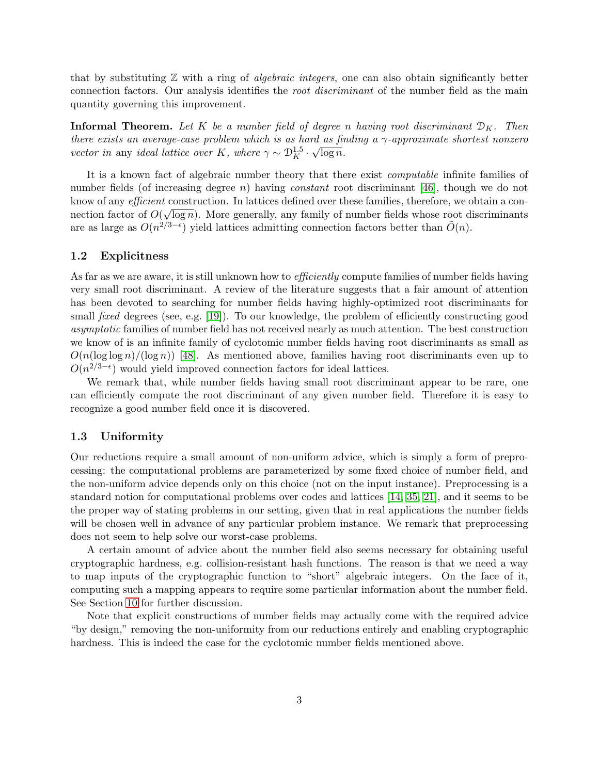that by substituting  $\mathbb Z$  with a ring of *algebraic integers*, one can also obtain significantly better connection factors. Our analysis identifies the root discriminant of the number field as the main quantity governing this improvement.

**Informal Theorem.** Let K be a number field of degree n having root discriminant  $D_K$ . Then there exists an average-case problem which is as hard as finding a  $\gamma$ -approximate shortest nonzero vector in any ideal lattice over K, where  $\gamma \sim \mathcal{D}^{1.5}_K \cdot \sqrt{\log n}$ .

It is a known fact of algebraic number theory that there exist computable infinite families of number fields (of increasing degree n) having *constant* root discriminant [\[46\]](#page-30-2), though we do not know of any efficient construction. In lattices defined over these families, therefore, we obtain a con-√ nection factor of  $O(\sqrt{\log n})$ . More generally, any family of number fields whose root discriminants are as large as  $O(n^{2/3-\epsilon})$  yield lattices admitting connection factors better than  $\tilde{O}(n)$ .

#### 1.2 Explicitness

As far as we are aware, it is still unknown how to *efficiently* compute families of number fields having very small root discriminant. A review of the literature suggests that a fair amount of attention has been devoted to searching for number fields having highly-optimized root discriminants for small *fixed* degrees (see, e.g. [\[19\]](#page-28-3)). To our knowledge, the problem of efficiently constructing good asymptotic families of number field has not received nearly as much attention. The best construction we know of is an infinite family of cyclotomic number fields having root discriminants as small as  $O(n(\log \log n)/(\log n))$  [\[48\]](#page-30-3). As mentioned above, families having root discriminants even up to  $O(n^{2/3-\epsilon})$  would yield improved connection factors for ideal lattices.

We remark that, while number fields having small root discriminant appear to be rare, one can efficiently compute the root discriminant of any given number field. Therefore it is easy to recognize a good number field once it is discovered.

#### 1.3 Uniformity

Our reductions require a small amount of non-uniform advice, which is simply a form of preprocessing: the computational problems are parameterized by some fixed choice of number field, and the non-uniform advice depends only on this choice (not on the input instance). Preprocessing is a standard notion for computational problems over codes and lattices [\[14,](#page-28-4) [35,](#page-29-9) [21\]](#page-28-5), and it seems to be the proper way of stating problems in our setting, given that in real applications the number fields will be chosen well in advance of any particular problem instance. We remark that preprocessing does not seem to help solve our worst-case problems.

A certain amount of advice about the number field also seems necessary for obtaining useful cryptographic hardness, e.g. collision-resistant hash functions. The reason is that we need a way to map inputs of the cryptographic function to "short" algebraic integers. On the face of it, computing such a mapping appears to require some particular information about the number field. See Section [10](#page-26-0) for further discussion.

Note that explicit constructions of number fields may actually come with the required advice "by design," removing the non-uniformity from our reductions entirely and enabling cryptographic hardness. This is indeed the case for the cyclotomic number fields mentioned above.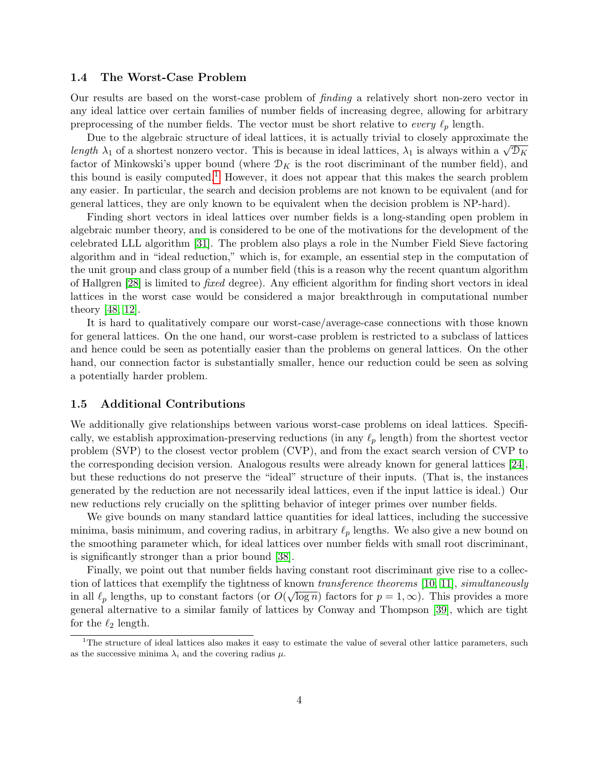#### 1.4 The Worst-Case Problem

Our results are based on the worst-case problem of finding a relatively short non-zero vector in any ideal lattice over certain families of number fields of increasing degree, allowing for arbitrary preprocessing of the number fields. The vector must be short relative to every  $\ell_p$  length.

Due to the algebraic structure of ideal lattices, it is actually trivial to closely approximate the Due to the algebraic structure of ideal lattices, it is actually trivial to closely approximate the length  $\lambda_1$  of a shortest nonzero vector. This is because in ideal lattices,  $\lambda_1$  is always within a  $\sqrt{\mathcal{D}_K}$ factor of Minkowski's upper bound (where  $\mathcal{D}_K$  is the root discriminant of the number field), and this bound is easily computed.<sup>[1](#page-3-0)</sup> However, it does not appear that this makes the search problem any easier. In particular, the search and decision problems are not known to be equivalent (and for general lattices, they are only known to be equivalent when the decision problem is NP-hard).

Finding short vectors in ideal lattices over number fields is a long-standing open problem in algebraic number theory, and is considered to be one of the motivations for the development of the celebrated LLL algorithm [\[31\]](#page-29-0). The problem also plays a role in the Number Field Sieve factoring algorithm and in "ideal reduction," which is, for example, an essential step in the computation of the unit group and class group of a number field (this is a reason why the recent quantum algorithm of Hallgren [\[28\]](#page-29-10) is limited to fixed degree). Any efficient algorithm for finding short vectors in ideal lattices in the worst case would be considered a major breakthrough in computational number theory [\[48,](#page-30-3) [12\]](#page-28-6).

It is hard to qualitatively compare our worst-case/average-case connections with those known for general lattices. On the one hand, our worst-case problem is restricted to a subclass of lattices and hence could be seen as potentially easier than the problems on general lattices. On the other hand, our connection factor is substantially smaller, hence our reduction could be seen as solving a potentially harder problem.

#### 1.5 Additional Contributions

We additionally give relationships between various worst-case problems on ideal lattices. Specifically, we establish approximation-preserving reductions (in any  $\ell_p$  length) from the shortest vector problem (SVP) to the closest vector problem (CVP), and from the exact search version of CVP to the corresponding decision version. Analogous results were already known for general lattices [\[24\]](#page-28-7), but these reductions do not preserve the "ideal" structure of their inputs. (That is, the instances generated by the reduction are not necessarily ideal lattices, even if the input lattice is ideal.) Our new reductions rely crucially on the splitting behavior of integer primes over number fields.

We give bounds on many standard lattice quantities for ideal lattices, including the successive minima, basis minimum, and covering radius, in arbitrary  $\ell_p$  lengths. We also give a new bound on the smoothing parameter which, for ideal lattices over number fields with small root discriminant, is significantly stronger than a prior bound [\[38\]](#page-29-2).

Finally, we point out that number fields having constant root discriminant give rise to a collec-tion of lattices that exemplify the tightness of known transference theorems [\[10,](#page-28-8) [11\]](#page-28-9), simultaneously in all  $\ell_p$  lengths, up to constant factors (or  $O(\sqrt{\log n})$  factors for  $p = 1, \infty$ ). This provides a more general alternative to a similar family of lattices by Conway and Thompson [\[39\]](#page-29-11), which are tight for the  $\ell_2$  length.

<span id="page-3-0"></span> $1$ <sup>1</sup>The structure of ideal lattices also makes it easy to estimate the value of several other lattice parameters, such as the successive minima  $\lambda_i$  and the covering radius  $\mu$ .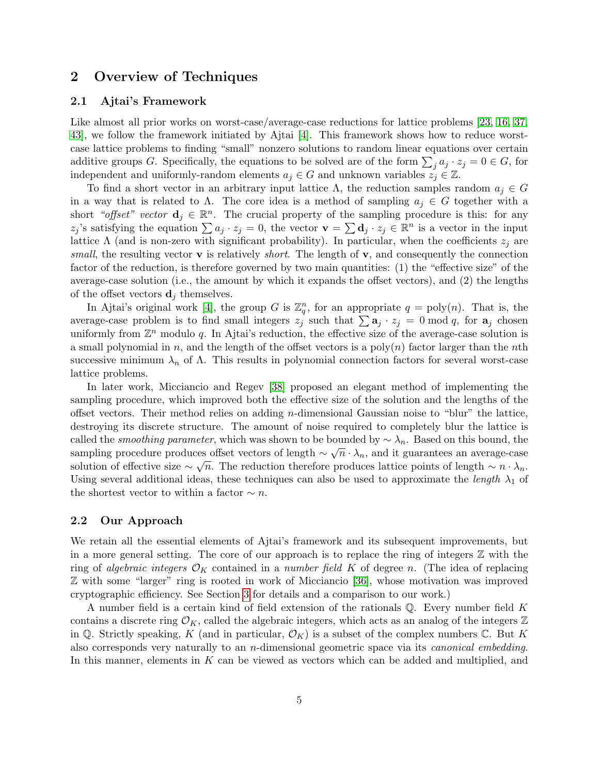# 2 Overview of Techniques

#### 2.1 Ajtai's Framework

Like almost all prior works on worst-case/average-case reductions for lattice problems [\[23,](#page-28-10) [16,](#page-28-0) [37,](#page-29-1) [43\]](#page-30-4), we follow the framework initiated by Ajtai [\[4\]](#page-27-0). This framework shows how to reduce worstcase lattice problems to finding "small" nonzero solutions to random linear equations over certain additive groups G. Specifically, the equations to be solved are of the form  $\sum_j a_j \cdot z_j = 0 \in G$ , for independent and uniformly-random elements  $a_j \in G$  and unknown variables  $z_j \in \mathbb{Z}$ .

To find a short vector in an arbitrary input lattice  $\Lambda$ , the reduction samples random  $a_j \in G$ in a way that is related to  $\Lambda$ . The core idea is a method of sampling  $a_j \in G$  together with a short "offset" vector  $\mathbf{d}_j \in \mathbb{R}^n$ . The crucial property of the sampling procedure is this: for any  $z_j$ 's satisfying the equation  $\sum a_j \cdot z_j = 0$ , the vector  $\mathbf{v} = \sum \mathbf{d}_j \cdot z_j \in \mathbb{R}^n$  is a vector in the input lattice  $\Lambda$  (and is non-zero with significant probability). In particular, when the coefficients  $z_j$  are small, the resulting vector **v** is relatively *short*. The length of **v**, and consequently the connection factor of the reduction, is therefore governed by two main quantities: (1) the "effective size" of the average-case solution (i.e., the amount by which it expands the offset vectors), and (2) the lengths of the offset vectors  $\mathbf{d}_j$  themselves.

In Ajtai's original work [\[4\]](#page-27-0), the group G is  $\mathbb{Z}_q^n$ , for an appropriate  $q = \text{poly}(n)$ . That is, the average-case problem is to find small integers  $z_j$  such that  $\sum \mathbf{a}_j \cdot z_j = 0 \mod q$ , for  $\mathbf{a}_j$  chosen uniformly from  $\mathbb{Z}^n$  modulo q. In Ajtai's reduction, the effective size of the average-case solution is a small polynomial in n, and the length of the offset vectors is a  $poly(n)$  factor larger than the nth successive minimum  $\lambda_n$  of  $\Lambda$ . This results in polynomial connection factors for several worst-case lattice problems.

In later work, Micciancio and Regev [\[38\]](#page-29-2) proposed an elegant method of implementing the sampling procedure, which improved both the effective size of the solution and the lengths of the offset vectors. Their method relies on adding  $n$ -dimensional Gaussian noise to "blur" the lattice, destroying its discrete structure. The amount of noise required to completely blur the lattice is called the *smoothing parameter*, which was shown to be bounded by  $\sim \lambda_n$ . Based on this bound, the sampling procedure produces offset vectors of length  $\sim \sqrt{n} \cdot \lambda_n$ , and it guarantees an average-case solution of effective size  $\sim \sqrt{n}$ . The reduction therefore produces lattice points of length  $\sim n \cdot \lambda_n$ . Using several additional ideas, these techniques can also be used to approximate the *length*  $\lambda_1$  of the shortest vector to within a factor  $\sim n$ .

#### <span id="page-4-0"></span>2.2 Our Approach

We retain all the essential elements of Ajtai's framework and its subsequent improvements, but in a more general setting. The core of our approach is to replace the ring of integers  $\mathbb Z$  with the ring of algebraic integers  $\mathcal{O}_K$  contained in a number field K of degree n. (The idea of replacing Z with some "larger" ring is rooted in work of Micciancio [\[36\]](#page-29-7), whose motivation was improved cryptographic efficiency. See Section [3](#page-6-0) for details and a comparison to our work.)

A number field is a certain kind of field extension of the rationals Q. Every number field K contains a discrete ring  $\mathcal{O}_K$ , called the algebraic integers, which acts as an analog of the integers  $\mathbb Z$ in Q. Strictly speaking, K (and in particular,  $\mathcal{O}_K$ ) is a subset of the complex numbers C. But K also corresponds very naturally to an n-dimensional geometric space via its canonical embedding. In this manner, elements in K can be viewed as vectors which can be added and multiplied, and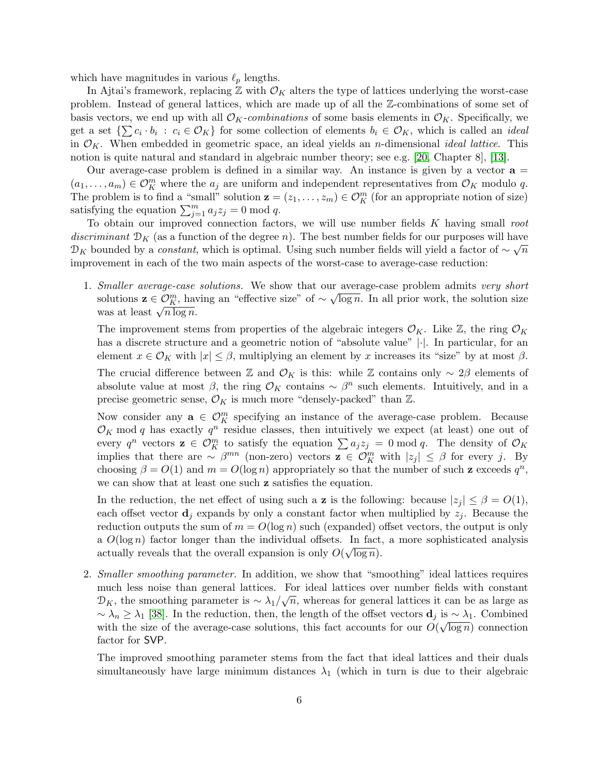which have magnitudes in various  $\ell_p$  lengths.

In Ajtai's framework, replacing  $\mathbb Z$  with  $\mathcal O_K$  alters the type of lattices underlying the worst-case problem. Instead of general lattices, which are made up of all the Z-combinations of some set of basis vectors, we end up with all  $\mathcal{O}_K$ -combinations of some basis elements in  $\mathcal{O}_K$ . Specifically, we get a set  $\{\sum c_i \cdot b_i : c_i \in \mathcal{O}_K\}$  for some collection of elements  $b_i \in \mathcal{O}_K$ , which is called an *ideal* in  $\mathcal{O}_K$ . When embedded in geometric space, an ideal yields an *n*-dimensional *ideal lattice*. This notion is quite natural and standard in algebraic number theory; see e.g. [\[20,](#page-28-11) Chapter 8], [\[13\]](#page-28-12).

Our average-case problem is defined in a similar way. An instance is given by a vector  $a =$  $(a_1, \ldots, a_m) \in \mathcal{O}_K^m$  where the  $a_j$  are uniform and independent representatives from  $\mathcal{O}_K$  modulo q. The problem is to find a "small" solution  $z = (z_1, \ldots, z_m) \in \mathcal{O}_K^m$  (for an appropriate notion of size) satisfying the equation  $\sum_{j=1}^{m} a_j z_j = 0 \text{ mod } q$ .

To obtain our improved connection factors, we will use number fields  $K$  having small root discriminant  $\mathcal{D}_K$  (as a function of the degree n). The best number fields for our purposes will have  $\mathcal{D}_K$  bounded by a *constant*, which is optimal. Using such number fields will yield a factor of  $\sim \sqrt{n}$ improvement in each of the two main aspects of the worst-case to average-case reduction:

1. Smaller average-case solutions. We show that our average-case problem admits very short solutions  $\mathbf{z} \in \mathcal{O}_{K}^{m}$ , having an "effective size" of  $\sim$  $\mathbf{r}$  $\overline{\log n}$ . In all prior work, the solution size solutions  $\mathbf{z} \in \mathcal{O}_K$ , have  $\cos \alpha$  at least  $\sqrt{n \log n}$ .

The improvement stems from properties of the algebraic integers  $\mathcal{O}_K$ . Like  $\mathbb{Z}$ , the ring  $\mathcal{O}_K$ has a discrete structure and a geometric notion of "absolute value" |. In particular, for an element  $x \in \mathcal{O}_K$  with  $|x| \leq \beta$ , multiplying an element by x increases its "size" by at most  $\beta$ . The crucial difference between Z and  $\mathcal{O}_K$  is this: while Z contains only  $\sim 2\beta$  elements of absolute value at most  $\beta$ , the ring  $\mathcal{O}_K$  contains ~  $\beta^n$  such elements. Intuitively, and in a precise geometric sense,  $\mathcal{O}_K$  is much more "densely-packed" than  $\mathbb{Z}$ .

Now consider any  $a \in \mathcal{O}_K^m$  specifying an instance of the average-case problem. Because  $\mathcal{O}_K$  mod q has exactly  $q^n$  residue classes, then intuitively we expect (at least) one out of every  $q^n$  vectors  $\mathbf{z} \in \mathcal{O}_K^m$  to satisfy the equation  $\sum a_j z_j = 0 \mod q$ . The density of  $\mathcal{O}_K$ implies that there are ~  $\beta^{mn}$  (non-zero) vectors  $z \in \mathcal{O}_K^m$  with  $|z_j| \leq \beta$  for every j. By choosing  $\beta = O(1)$  and  $m = O(\log n)$  appropriately so that the number of such z exceeds  $q^n$ , we can show that at least one such z satisfies the equation.

In the reduction, the net effect of using such a **z** is the following: because  $|z_i| \leq \beta = O(1)$ , each offset vector  $\mathbf{d}_i$  expands by only a constant factor when multiplied by  $z_i$ . Because the reduction outputs the sum of  $m = O(\log n)$  such (expanded) offset vectors, the output is only a  $O(\log n)$  factor longer than the individual offsets. In fact, a more sophisticated analysis actually reveals that the overall expansion is only  $O(\sqrt{\log n})$ .

2. Smaller smoothing parameter. In addition, we show that "smoothing" ideal lattices requires much less noise than general lattices. For ideal lattices over number fields with constant  $\mathcal{D}_K$ , the smoothing parameter is  $\sim \lambda_1/\sqrt{n}$ , whereas for general lattices it can be as large as  $\sim \lambda_n \geq \lambda_1$  [\[38\]](#page-29-2). In the reduction, then, the length of the offset vectors  $\mathbf{d}_j$  is  $\sim \lambda_1$ . Combined with the size of the average-case solutions, this fact accounts for our  $O(\sqrt{\log n})$  connection factor for SVP.

The improved smoothing parameter stems from the fact that ideal lattices and their duals simultaneously have large minimum distances  $\lambda_1$  (which in turn is due to their algebraic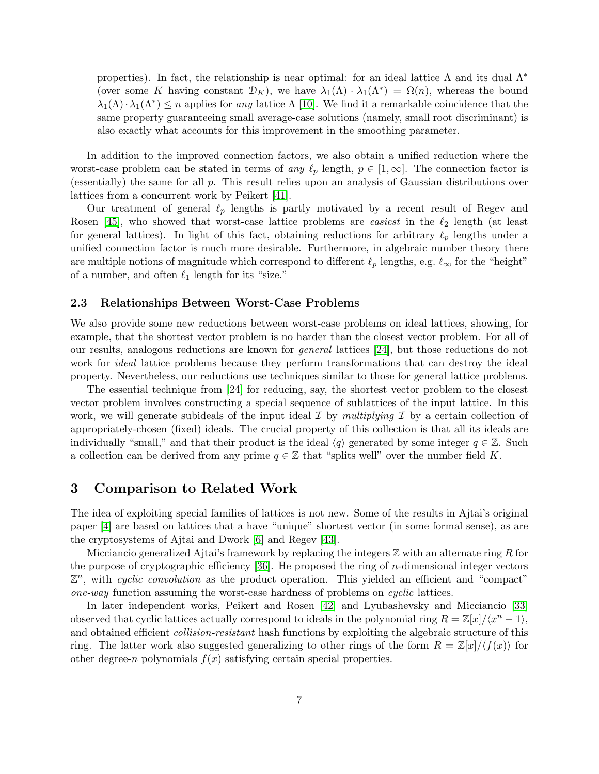properties). In fact, the relationship is near optimal: for an ideal lattice  $\Lambda$  and its dual  $\Lambda^*$ (over some K having constant  $\mathcal{D}_K$ ), we have  $\lambda_1(\Lambda) \cdot \lambda_1(\Lambda^*) = \Omega(n)$ , whereas the bound  $\lambda_1(\Lambda) \cdot \lambda_1(\Lambda^*) \leq n$  applies for any lattice  $\Lambda$  [\[10\]](#page-28-8). We find it a remarkable coincidence that the same property guaranteeing small average-case solutions (namely, small root discriminant) is also exactly what accounts for this improvement in the smoothing parameter.

In addition to the improved connection factors, we also obtain a unified reduction where the worst-case problem can be stated in terms of any  $\ell_p$  length,  $p \in [1,\infty]$ . The connection factor is (essentially) the same for all p. This result relies upon an analysis of Gaussian distributions over lattices from a concurrent work by Peikert [\[41\]](#page-29-12).

Our treatment of general  $\ell_p$  lengths is partly motivated by a recent result of Regev and Rosen [\[45\]](#page-30-5), who showed that worst-case lattice problems are *easiest* in the  $\ell_2$  length (at least for general lattices). In light of this fact, obtaining reductions for arbitrary  $\ell_p$  lengths under a unified connection factor is much more desirable. Furthermore, in algebraic number theory there are multiple notions of magnitude which correspond to different  $\ell_p$  lengths, e.g.  $\ell_{\infty}$  for the "height" of a number, and often  $\ell_1$  length for its "size."

#### 2.3 Relationships Between Worst-Case Problems

We also provide some new reductions between worst-case problems on ideal lattices, showing, for example, that the shortest vector problem is no harder than the closest vector problem. For all of our results, analogous reductions are known for general lattices [\[24\]](#page-28-7), but those reductions do not work for *ideal* lattice problems because they perform transformations that can destroy the ideal property. Nevertheless, our reductions use techniques similar to those for general lattice problems.

The essential technique from [\[24\]](#page-28-7) for reducing, say, the shortest vector problem to the closest vector problem involves constructing a special sequence of sublattices of the input lattice. In this work, we will generate subideals of the input ideal  $\mathcal I$  by multiplying  $\mathcal I$  by a certain collection of appropriately-chosen (fixed) ideals. The crucial property of this collection is that all its ideals are individually "small," and that their product is the ideal  $\langle q \rangle$  generated by some integer  $q \in \mathbb{Z}$ . Such a collection can be derived from any prime  $q \in \mathbb{Z}$  that "splits well" over the number field K.

# <span id="page-6-0"></span>3 Comparison to Related Work

The idea of exploiting special families of lattices is not new. Some of the results in Ajtai's original paper [\[4\]](#page-27-0) are based on lattices that a have "unique" shortest vector (in some formal sense), as are the cryptosystems of Ajtai and Dwork [\[6\]](#page-27-5) and Regev [\[43\]](#page-30-4).

Micciancio generalized Ajtai's framework by replacing the integers  $\mathbb Z$  with an alternate ring R for the purpose of cryptographic efficiency [\[36\]](#page-29-7). He proposed the ring of n-dimensional integer vectors  $\mathbb{Z}^n$ , with cyclic convolution as the product operation. This yielded an efficient and "compact" one-way function assuming the worst-case hardness of problems on cyclic lattices.

In later independent works, Peikert and Rosen [\[42\]](#page-30-1) and Lyubashevsky and Micciancio [\[33\]](#page-29-8) observed that cyclic lattices actually correspond to ideals in the polynomial ring  $R = \mathbb{Z}[x]/\langle x^n - 1 \rangle$ , and obtained efficient *collision-resistant* hash functions by exploiting the algebraic structure of this ring. The latter work also suggested generalizing to other rings of the form  $R = \mathbb{Z}[x]/\langle f(x) \rangle$  for other degree-n polynomials  $f(x)$  satisfying certain special properties.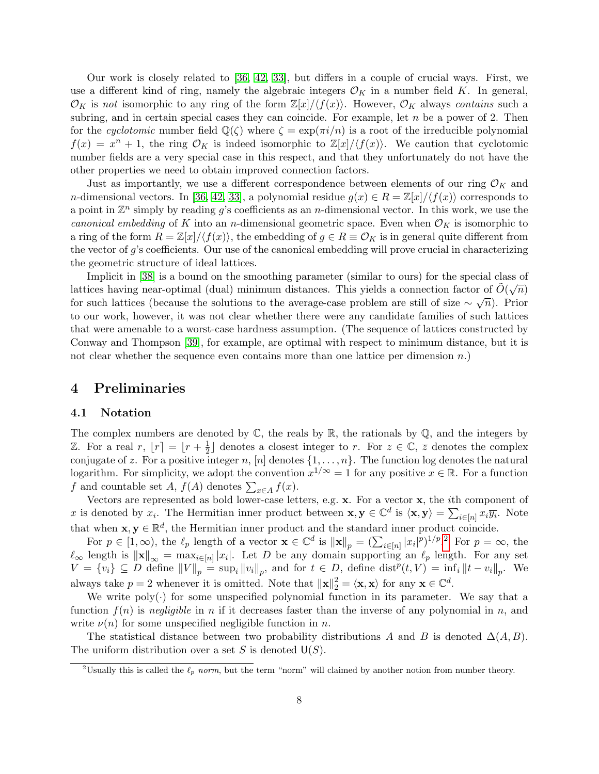Our work is closely related to [\[36,](#page-29-7) [42,](#page-30-1) [33\]](#page-29-8), but differs in a couple of crucial ways. First, we use a different kind of ring, namely the algebraic integers  $\mathcal{O}_K$  in a number field K. In general,  $\mathcal{O}_K$  is not isomorphic to any ring of the form  $\mathbb{Z}[x]/\langle f(x)\rangle$ . However,  $\mathcal{O}_K$  always contains such a subring, and in certain special cases they can coincide. For example, let  $n$  be a power of 2. Then for the cyclotomic number field  $\mathbb{Q}(\zeta)$  where  $\zeta = \exp(\pi i/n)$  is a root of the irreducible polynomial  $f(x) = x<sup>n</sup> + 1$ , the ring  $\mathcal{O}_K$  is indeed isomorphic to  $\mathbb{Z}[x]/\langle f(x) \rangle$ . We caution that cyclotomic number fields are a very special case in this respect, and that they unfortunately do not have the other properties we need to obtain improved connection factors.

Just as importantly, we use a different correspondence between elements of our ring  $\mathcal{O}_K$  and n-dimensional vectors. In [\[36,](#page-29-7) [42,](#page-30-1) [33\]](#page-29-8), a polynomial residue  $g(x) \in R = \mathbb{Z}[x]/\langle f(x) \rangle$  corresponds to a point in  $\mathbb{Z}^n$  simply by reading g's coefficients as an n-dimensional vector. In this work, we use the canonical embedding of K into an n-dimensional geometric space. Even when  $\mathcal{O}_K$  is isomorphic to a ring of the form  $R = \mathbb{Z}[x]/\langle f(x) \rangle$ , the embedding of  $g \in R \equiv \mathcal{O}_K$  is in general quite different from the vector of g's coefficients. Our use of the canonical embedding will prove crucial in characterizing the geometric structure of ideal lattices.

Implicit in [\[38\]](#page-29-2) is a bound on the smoothing parameter (similar to ours) for the special class of lattices having near-optimal (dual) minimum distances. This yields a connection factor of  $\tilde{O}(\sqrt{n})$ for such lattices (because the solutions to the average-case problem are still of size  $\sim \sqrt{n}$ ). Prior to our work, however, it was not clear whether there were any candidate families of such lattices that were amenable to a worst-case hardness assumption. (The sequence of lattices constructed by Conway and Thompson [\[39\]](#page-29-11), for example, are optimal with respect to minimum distance, but it is not clear whether the sequence even contains more than one lattice per dimension  $n$ .

### 4 Preliminaries

#### 4.1 Notation

The complex numbers are denoted by  $\mathbb{C}$ , the reals by  $\mathbb{R}$ , the rationals by  $\mathbb{Q}$ , and the integers by Z. For a real  $r, |r| = |r + \frac{1}{2}$  $\frac{1}{2}$  denotes a closest integer to r. For  $z \in \mathbb{C}$ ,  $\overline{z}$  denotes the complex conjugate of z. For a positive integer n, [n] denotes  $\{1, \ldots, n\}$ . The function log denotes the natural logarithm. For simplicity, we adopt the convention  $x^{1/\infty} = 1$  for any positive  $x \in \mathbb{R}$ . For a function f and countable set A,  $f(A)$  denotes  $\sum_{x \in A} f(x)$ .

Vectors are represented as bold lower-case letters, e.g. x. For a vector x, the ith component of x is denoted by  $x_i$ . The Hermitian inner product between  $\mathbf{x}, \mathbf{y} \in \mathbb{C}^d$  is  $\langle \mathbf{x}, \mathbf{y} \rangle = \sum_{i \in [n]} x_i \overline{y_i}$ . Note that when  $\mathbf{x}, \mathbf{y} \in \mathbb{R}^d$ , the Hermitian inner product and the standard inner product coincide.

For  $p \in [1, \infty)$ , the  $\ell_p$  length of a vector  $\mathbf{x} \in \mathbb{C}^d$  is  $\|\mathbf{x}\|_p = \left(\sum_{i \in [n]} |x_i|^p\right)^{1/p}$ . For  $p = \infty$ , the  $\ell_{\infty}$  length is  $\|\mathbf{x}\|_{\infty} = \max_{i \in [n]} |x_i|$ . Let D be any domain supporting an  $\ell_p$  length. For any set  $V = \{v_i\} \subseteq D$  define  $||V||_p = \sup_i ||v_i||_p$ , and for  $t \in D$ , define  $dist^p(t, V) = \inf_i ||t - v_i||_p$ . We always take  $p = 2$  whenever it is omitted. Note that  $\|\mathbf{x}\|_2^2 = \langle \mathbf{x}, \mathbf{x} \rangle$  for any  $\mathbf{x} \in \mathbb{C}^d$ .

We write  $poly(\cdot)$  for some unspecified polynomial function in its parameter. We say that a function  $f(n)$  is negligible in n if it decreases faster than the inverse of any polynomial in n, and write  $\nu(n)$  for some unspecified negligible function in n.

The statistical distance between two probability distributions A and B is denoted  $\Delta(A, B)$ . The uniform distribution over a set S is denoted  $\mathsf{U}(S)$ .

<span id="page-7-0"></span><sup>&</sup>lt;sup>2</sup>Usually this is called the  $\ell_p$  norm, but the term "norm" will claimed by another notion from number theory.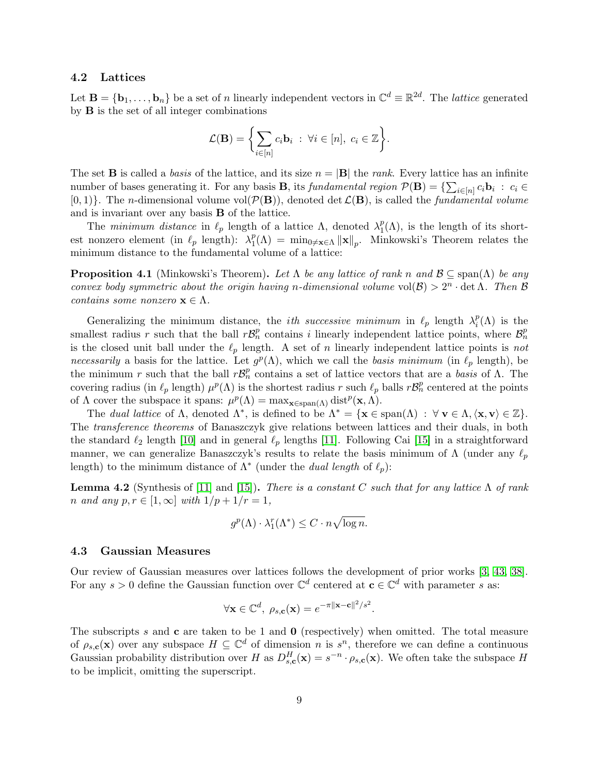#### 4.2 Lattices

Let  $\mathbf{B} = \{\mathbf{b}_1, \dots, \mathbf{b}_n\}$  be a set of n linearly independent vectors in  $\mathbb{C}^d \equiv \mathbb{R}^{2d}$ . The *lattice* generated by B is the set of all integer combinations

$$
\mathcal{L}(\mathbf{B}) = \bigg\{ \sum_{i \in [n]} c_i \mathbf{b}_i \; : \; \forall i \in [n], \ c_i \in \mathbb{Z} \bigg\}.
$$

The set **B** is called a *basis* of the lattice, and its size  $n = |\mathbf{B}|$  the *rank*. Every lattice has an infinite number of bases generating it. For any basis **B**, its fundamental region  $\mathcal{P}(\mathbf{B}) = \{\sum_{i \in [n]} c_i \mathbf{b}_i : c_i \in$  $[0, 1)$ . The *n*-dimensional volume vol $(\mathcal{P}(\mathbf{B}))$ , denoted det  $\mathcal{L}(\mathbf{B})$ , is called the *fundamental volume* and is invariant over any basis B of the lattice.

The minimum distance in  $\ell_p$  length of a lattice  $\Lambda$ , denoted  $\lambda_1^p$  $_{1}^{p}(\Lambda)$ , is the length of its shortest nonzero element (in  $\ell_p$  length):  $\lambda_1^p$  $t_1^p(\Lambda) = \min_{0 \neq \mathbf{x} \in \Lambda} ||\mathbf{x}||_p$ . Minkowski's Theorem relates the minimum distance to the fundamental volume of a lattice:

<span id="page-8-0"></span>**Proposition 4.1** (Minkowski's Theorem). Let  $\Lambda$  be any lattice of rank n and  $\mathcal{B} \subseteq \text{span}(\Lambda)$  be any convex body symmetric about the origin having n-dimensional volume  $vol(\mathcal{B}) > 2^n \cdot det \Lambda$ . Then  $\mathcal B$ contains some nonzero  $\mathbf{x} \in \Lambda$ .

Generalizing the minimum distance, the *ith successive minimum* in  $\ell_p$  length  $\lambda_i^p$  $i^p(\Lambda)$  is the smallest radius r such that the ball  $rB_n^p$  contains i linearly independent lattice points, where  $B_n^p$ is the closed unit ball under the  $\ell_p$  length. A set of n linearly independent lattice points is not necessarily a basis for the lattice. Let  $g^p(\Lambda)$ , which we call the basis minimum (in  $\ell_p$  length), be the minimum r such that the ball  $r\mathcal{B}_n^p$  contains a set of lattice vectors that are a basis of  $\Lambda$ . The covering radius (in  $\ell_p$  length)  $\mu^p(\Lambda)$  is the shortest radius r such  $\ell_p$  balls  $r\mathcal{B}_n^p$  centered at the points of  $\Lambda$  cover the subspace it spans:  $\mu^p(\Lambda) = \max_{\mathbf{x} \in \text{span}(\Lambda)} \text{dist}^p(\mathbf{x}, \Lambda)$ .

The dual lattice of  $\Lambda$ , denoted  $\Lambda^*$ , is defined to be  $\Lambda^* = {\mathbf{x} \in \text{span}(\Lambda) : \forall \mathbf{v} \in \Lambda, \langle \mathbf{x}, \mathbf{v} \rangle \in \mathbb{Z}}.$ The transference theorems of Banaszczyk give relations between lattices and their duals, in both the standard  $\ell_2$  length [\[10\]](#page-28-8) and in general  $\ell_p$  lengths [\[11\]](#page-28-9). Following Cai [\[15\]](#page-28-13) in a straightforward manner, we can generalize Banaszczyk's results to relate the basis minimum of  $\Lambda$  (under any  $\ell_p$ length) to the minimum distance of  $\Lambda^*$  (under the *dual length* of  $\ell_p$ ):

<span id="page-8-1"></span>**Lemma 4.2** (Synthesis of [\[11\]](#page-28-9) and [\[15\]](#page-28-13)). There is a constant C such that for any lattice  $\Lambda$  of rank n and any  $p, r \in [1, \infty]$  with  $1/p + 1/r = 1$ ,

$$
g^{p}(\Lambda) \cdot \lambda_{1}^{r}(\Lambda^{*}) \leq C \cdot n \sqrt{\log n}.
$$

#### 4.3 Gaussian Measures

Our review of Gaussian measures over lattices follows the development of prior works [\[3,](#page-27-3) [43,](#page-30-4) [38\]](#page-29-2). For any  $s > 0$  define the Gaussian function over  $\mathbb{C}^d$  centered at  $\mathbf{c} \in \mathbb{C}^d$  with parameter s as:

$$
\forall \mathbf{x} \in \mathbb{C}^d, \ \rho_{s,\mathbf{c}}(\mathbf{x}) = e^{-\pi ||\mathbf{x} - \mathbf{c}||^2/s^2}
$$

.

The subscripts s and c are taken to be 1 and 0 (respectively) when omitted. The total measure of  $\rho_{s,c}(\mathbf{x})$  over any subspace  $H \subseteq \mathbb{C}^d$  of dimension n is  $s^n$ , therefore we can define a continuous Gaussian probability distribution over H as  $D_{s,c}^H(\mathbf{x}) = s^{-n} \cdot \rho_{s,c}(\mathbf{x})$ . We often take the subspace H to be implicit, omitting the superscript.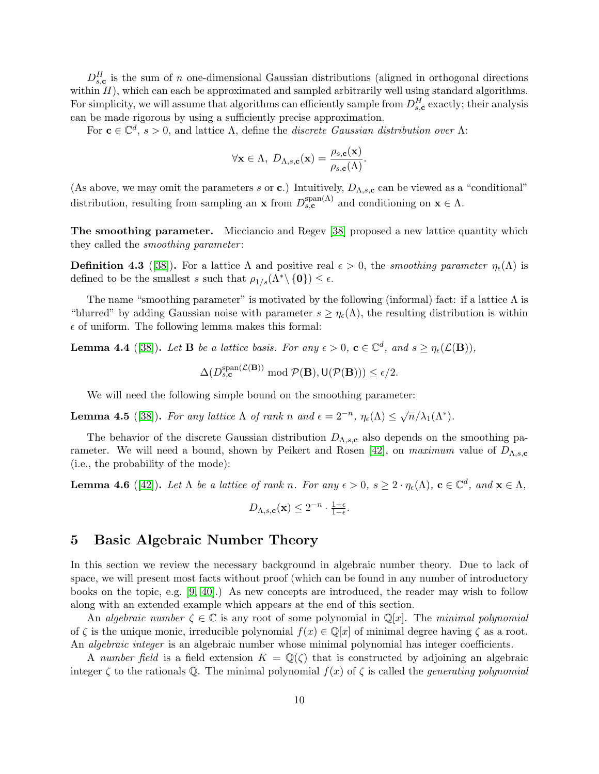$D_{s,c}^H$  is the sum of n one-dimensional Gaussian distributions (aligned in orthogonal directions within  $H$ ), which can each be approximated and sampled arbitrarily well using standard algorithms. For simplicity, we will assume that algorithms can efficiently sample from  $D_{s,\mathbf{c}}^H$  exactly; their analysis can be made rigorous by using a sufficiently precise approximation.

For  $\mathbf{c} \in \mathbb{C}^d$ ,  $s > 0$ , and lattice  $\Lambda$ , define the *discrete Gaussian distribution over*  $\Lambda$ :

$$
\forall \mathbf{x} \in \Lambda, \ D_{\Lambda,s,\mathbf{c}}(\mathbf{x}) = \frac{\rho_{s,\mathbf{c}}(\mathbf{x})}{\rho_{s,\mathbf{c}}(\Lambda)}.
$$

(As above, we may omit the parameters s or c.) Intuitively,  $D_{\Lambda,s,c}$  can be viewed as a "conditional" distribution, resulting from sampling an **x** from  $D_{s,c}^{\text{span}(\Lambda)}$  and conditioning on **x**  $\in \Lambda$ .

The smoothing parameter. Micciancio and Regev [\[38\]](#page-29-2) proposed a new lattice quantity which they called the *smoothing parameter*:

<span id="page-9-1"></span>**Definition 4.3** ([\[38\]](#page-29-2)). For a lattice  $\Lambda$  and positive real  $\epsilon > 0$ , the *smoothing parameter*  $\eta_{\epsilon}(\Lambda)$  is defined to be the smallest s such that  $\rho_{1/s}(\Lambda^* \setminus \{0\}) \leq \epsilon$ .

The name "smoothing parameter" is motivated by the following (informal) fact: if a lattice  $\Lambda$  is "blurred" by adding Gaussian noise with parameter  $s \geq \eta_{\epsilon}(\Lambda)$ , the resulting distribution is within  $\epsilon$  of uniform. The following lemma makes this formal:

**Lemma 4.4** ([\[38\]](#page-29-2)). Let **B** be a lattice basis. For any  $\epsilon > 0$ ,  $\mathbf{c} \in \mathbb{C}^d$ , and  $s \geq \eta_{\epsilon}(\mathcal{L}(\mathbf{B}))$ ,

$$
\Delta(D_{s,\mathbf{c}}^{\text{span}(\mathcal{L}(\mathbf{B}))} \bmod \mathcal{P}(\mathbf{B}), \mathsf{U}(\mathcal{P}(\mathbf{B}))) \le \epsilon/2.
$$

We will need the following simple bound on the smoothing parameter:

<span id="page-9-0"></span>**Lemma 4.5** ([\[38\]](#page-29-2)). For any lattice  $\Lambda$  of rank n and  $\epsilon = 2^{-n}$ ,  $\eta_{\epsilon}(\Lambda) \leq \sqrt{n}/\lambda_1(\Lambda^*)$ .

The behavior of the discrete Gaussian distribution  $D_{\Lambda,s,c}$  also depends on the smoothing pa-rameter. We will need a bound, shown by Peikert and Rosen [\[42\]](#page-30-1), on maximum value of  $D_{\Lambda,s,c}$ (i.e., the probability of the mode):

<span id="page-9-2"></span>**Lemma 4.6** ([\[42\]](#page-30-1)). Let  $\Lambda$  be a lattice of rank n. For any  $\epsilon > 0$ ,  $s \geq 2 \cdot \eta_{\epsilon}(\Lambda)$ ,  $\mathbf{c} \in \mathbb{C}^d$ , and  $\mathbf{x} \in \Lambda$ ,

$$
D_{\Lambda,s,\mathbf{c}}(\mathbf{x}) \leq 2^{-n} \cdot \frac{1+\epsilon}{1-\epsilon}.
$$

# 5 Basic Algebraic Number Theory

In this section we review the necessary background in algebraic number theory. Due to lack of space, we will present most facts without proof (which can be found in any number of introductory books on the topic, e.g. [\[9,](#page-28-14) [40\]](#page-29-13).) As new concepts are introduced, the reader may wish to follow along with an extended example which appears at the end of this section.

An algebraic number  $\zeta \in \mathbb{C}$  is any root of some polynomial in  $\mathbb{Q}[x]$ . The minimal polynomial of  $\zeta$  is the unique monic, irreducible polynomial  $f(x) \in \mathbb{Q}[x]$  of minimal degree having  $\zeta$  as a root. An *algebraic integer* is an algebraic number whose minimal polynomial has integer coefficients.

A number field is a field extension  $K = \mathbb{Q}(\zeta)$  that is constructed by adjoining an algebraic integer  $\zeta$  to the rationals Q. The minimal polynomial  $f(x)$  of  $\zeta$  is called the *generating polynomial*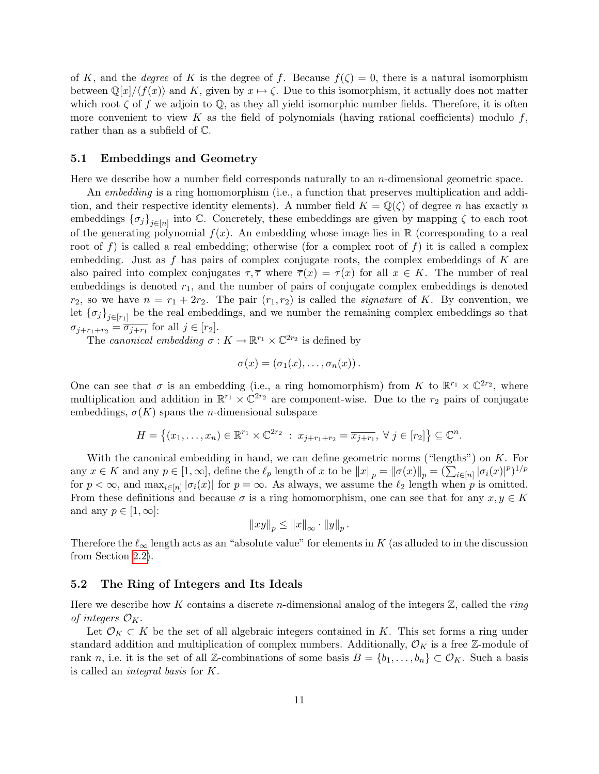of K, and the *degree* of K is the degree of f. Because  $f(\zeta) = 0$ , there is a natural isomorphism between  $\mathbb{Q}[x]/\langle f(x)\rangle$  and K, given by  $x \mapsto \zeta$ . Due to this isomorphism, it actually does not matter which root  $\zeta$  of f we adjoin to Q, as they all yield isomorphic number fields. Therefore, it is often more convenient to view K as the field of polynomials (having rational coefficients) modulo  $f$ , rather than as a subfield of C.

#### 5.1 Embeddings and Geometry

Here we describe how a number field corresponds naturally to an  $n$ -dimensional geometric space.

An *embedding* is a ring homomorphism (i.e., a function that preserves multiplication and addition, and their respective identity elements). A number field  $K = \mathbb{Q}(\zeta)$  of degree n has exactly n embeddings  $\{\sigma_j\}_{j\in[n]}$  into C. Concretely, these embeddings are given by mapping  $\zeta$  to each root of the generating polynomial  $f(x)$ . An embedding whose image lies in  $\mathbb R$  (corresponding to a real root of f) is called a real embedding; otherwise (for a complex root of f) it is called a complex embedding. Just as f has pairs of complex conjugate roots, the complex embeddings of  $K$  are also paired into complex conjugates  $\tau, \overline{\tau}$  where  $\overline{\tau}(x) = \tau(x)$  for all  $x \in K$ . The number of real embeddings is denoted  $r_1$ , and the number of pairs of conjugate complex embeddings is denoted  $r_2$ , so we have  $n = r_1 + 2r_2$ . The pair  $(r_1, r_2)$  is called the *signature* of K. By convention, we let  ${\{\sigma_j\}}_{j\in[r_1]}$  be the real embeddings, and we number the remaining complex embeddings so that  $\sigma_{j+r_1+r_2} = \overline{\sigma_{j+r_1}}$  for all  $j \in [r_2]$ .

The canonical embedding  $\sigma: K \to \mathbb{R}^{r_1} \times \mathbb{C}^{2r_2}$  is defined by

$$
\sigma(x) = (\sigma_1(x), \ldots, \sigma_n(x)).
$$

One can see that  $\sigma$  is an embedding (i.e., a ring homomorphism) from K to  $\mathbb{R}^{r_1} \times \mathbb{C}^{2r_2}$ , where multiplication and addition in  $\mathbb{R}^{r_1} \times \mathbb{C}^{2r_2}$  are component-wise. Due to the  $r_2$  pairs of conjugate embeddings,  $\sigma(K)$  spans the *n*-dimensional subspace

$$
H = \left\{ (x_1, \ldots, x_n) \in \mathbb{R}^{r_1} \times \mathbb{C}^{2r_2} : x_{j+r_1+r_2} = \overline{x_{j+r_1}}, \ \forall \ j \in [r_2] \right\} \subseteq \mathbb{C}^n.
$$

With the canonical embedding in hand, we can define geometric norms ("lengths") on K. For any  $x \in K$  and any  $p \in [1, \infty]$ , define the  $\ell_p$  length of x to be  $||x||_p = ||\sigma(x)||_p = (\sum_{i \in [n]} |\sigma_i(x)|^p)^{1/p}$ for  $p < \infty$ , and  $\max_{i \in [n]} |\sigma_i(x)|$  for  $p = \infty$ . As always, we assume the  $\ell_2$  length when p is omitted. From these definitions and because  $\sigma$  is a ring homomorphism, one can see that for any  $x, y \in K$ and any  $p \in [1,\infty]$ :

$$
||xy||_p \leq ||x||_{\infty} \cdot ||y||_p.
$$

Therefore the  $\ell_{\infty}$  length acts as an "absolute value" for elements in K (as alluded to in the discussion from Section [2.2\)](#page-4-0).

#### 5.2 The Ring of Integers and Its Ideals

Here we describe how K contains a discrete *n*-dimensional analog of the integers  $\mathbb{Z}$ , called the *ring* of integers  $\mathcal{O}_K$ .

Let  $\mathcal{O}_K \subset K$  be the set of all algebraic integers contained in K. This set forms a ring under standard addition and multiplication of complex numbers. Additionally,  $\mathcal{O}_K$  is a free Z-module of rank n, i.e. it is the set of all Z-combinations of some basis  $B = \{b_1, \ldots, b_n\} \subset \mathcal{O}_K$ . Such a basis is called an integral basis for K.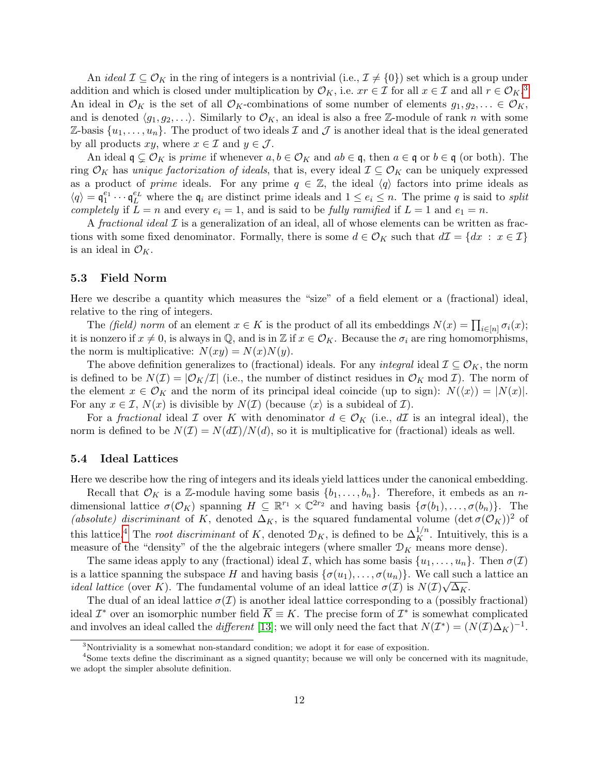An *ideal*  $\mathcal{I} \subseteq \mathcal{O}_K$  in the ring of integers is a nontrivial (i.e.,  $\mathcal{I} \neq \{0\}$ ) set which is a group under addition and which is closed under multiplication by  $\mathcal{O}_K$ , i.e.  $xr \in \mathcal{I}$  for all  $x \in \mathcal{I}$  and all  $r \in \mathcal{O}_K$ .<sup>[3](#page-11-0)</sup> An ideal in  $\mathcal{O}_K$  is the set of all  $\mathcal{O}_K$ -combinations of some number of elements  $g_1, g_2, \ldots \in \mathcal{O}_K$ , and is denoted  $\langle g_1, g_2, \ldots \rangle$ . Similarly to  $\mathcal{O}_K$ , an ideal is also a free Z-module of rank n with some Z-basis  $\{u_1, \ldots, u_n\}$ . The product of two ideals Z and J is another ideal that is the ideal generated by all products  $xy$ , where  $x \in \mathcal{I}$  and  $y \in \mathcal{J}$ .

An ideal  $\mathfrak{q} \subsetneq \mathcal{O}_K$  is *prime* if whenever  $a, b \in \mathcal{O}_K$  and  $ab \in \mathfrak{q}$ , then  $a \in \mathfrak{q}$  or  $b \in \mathfrak{q}$  (or both). The ring  $\mathcal{O}_K$  has *unique factorization of ideals*, that is, every ideal  $\mathcal{I} \subseteq \mathcal{O}_K$  can be uniquely expressed as a product of *prime* ideals. For any prime  $q \in \mathbb{Z}$ , the ideal  $\langle q \rangle$  factors into prime ideals as  $\langle q \rangle = \mathfrak{q}_1^{e_1} \cdots \mathfrak{q}_L^{e_L}$  where the  $\mathfrak{q}_i$  are distinct prime ideals and  $1 \leq e_i \leq n$ . The prime q is said to split completely if  $L = n$  and every  $e_i = 1$ , and is said to be fully ramified if  $L = 1$  and  $e_1 = n$ .

A fractional ideal  $\mathcal I$  is a generalization of an ideal, all of whose elements can be written as fractions with some fixed denominator. Formally, there is some  $d \in \mathcal{O}_K$  such that  $d\mathcal{I} = \{dx : x \in \mathcal{I}\}\$ is an ideal in  $\mathcal{O}_K$ .

#### 5.3 Field Norm

Here we describe a quantity which measures the "size" of a field element or a (fractional) ideal, relative to the ring of integers.

The (field) norm of an element  $x \in K$  is the product of all its embeddings  $N(x) = \prod_{i \in [n]} \sigma_i(x)$ ; it is nonzero if  $x \neq 0$ , is always in  $\mathbb{Q}$ , and is in Z if  $x \in \mathcal{O}_K$ . Because the  $\sigma_i$  are ring homomorphisms, the norm is multiplicative:  $N(xy) = N(x)N(y)$ .

The above definition generalizes to (fractional) ideals. For any *integral* ideal  $\mathcal{I} \subseteq \mathcal{O}_K$ , the norm is defined to be  $N(\mathcal{I}) = |\mathcal{O}_K/\mathcal{I}|$  (i.e., the number of distinct residues in  $\mathcal{O}_K$  mod  $\mathcal{I}$ ). The norm of the element  $x \in \mathcal{O}_K$  and the norm of its principal ideal coincide (up to sign):  $N(\langle x \rangle) = |N(x)|$ . For any  $x \in \mathcal{I}$ ,  $N(x)$  is divisible by  $N(\mathcal{I})$  (because  $\langle x \rangle$  is a subideal of  $\mathcal{I}$ ).

For a fractional ideal I over K with denominator  $d \in \mathcal{O}_K$  (i.e.,  $d\mathcal{I}$  is an integral ideal), the norm is defined to be  $N(\mathcal{I}) = N(d\mathcal{I})/N(d)$ , so it is multiplicative for (fractional) ideals as well.

#### 5.4 Ideal Lattices

Here we describe how the ring of integers and its ideals yield lattices under the canonical embedding.

Recall that  $\mathcal{O}_K$  is a Z-module having some basis  $\{b_1, \ldots, b_n\}$ . Therefore, it embeds as an ndimensional lattice  $\sigma(\mathcal{O}_K)$  spanning  $H \subseteq \mathbb{R}^{r_1} \times \mathbb{C}^{2r_2}$  and having basis  $\{\sigma(b_1), \ldots, \sigma(b_n)\}.$  The (absolute) discriminant of K, denoted  $\Delta_K$ , is the squared fundamental volume (det  $\sigma(\mathcal{O}_K)$ )<sup>2</sup> of this lattice.<sup>[4](#page-11-1)</sup> The *root discriminant* of K, denoted  $\mathcal{D}_K$ , is defined to be  $\Delta_K^{1/n}$ . Intuitively, this is a measure of the "density" of the the algebraic integers (where smaller  $\mathcal{D}_K$  means more dense).

The same ideas apply to any (fractional) ideal  $\mathcal{I}$ , which has some basis  $\{u_1, \ldots, u_n\}$ . Then  $\sigma(\mathcal{I})$ is a lattice spanning the subspace H and having basis  $\{\sigma(u_1), \ldots, \sigma(u_n)\}\)$ . We call such a lattice an *ideal lattice* (over K). The fundamental volume of an ideal lattice  $\sigma(\mathcal{I})$  is  $N(\mathcal{I})\sqrt{\Delta_K}$ .

The dual of an ideal lattice  $\sigma(\mathcal{I})$  is another ideal lattice corresponding to a (possibly fractional) ideal  $\mathcal{I}^*$  over an isomorphic number field  $\overline{K} \equiv K$ . The precise form of  $\mathcal{I}^*$  is somewhat complicated and involves an ideal called the *different* [\[13\]](#page-28-12); we will only need the fact that  $N(\mathcal{I}^*) = (N(\mathcal{I})\Delta_K)^{-1}$ .

<span id="page-11-1"></span><span id="page-11-0"></span><sup>3</sup>Nontriviality is a somewhat non-standard condition; we adopt it for ease of exposition.

<sup>&</sup>lt;sup>4</sup>Some texts define the discriminant as a signed quantity; because we will only be concerned with its magnitude, we adopt the simpler absolute definition.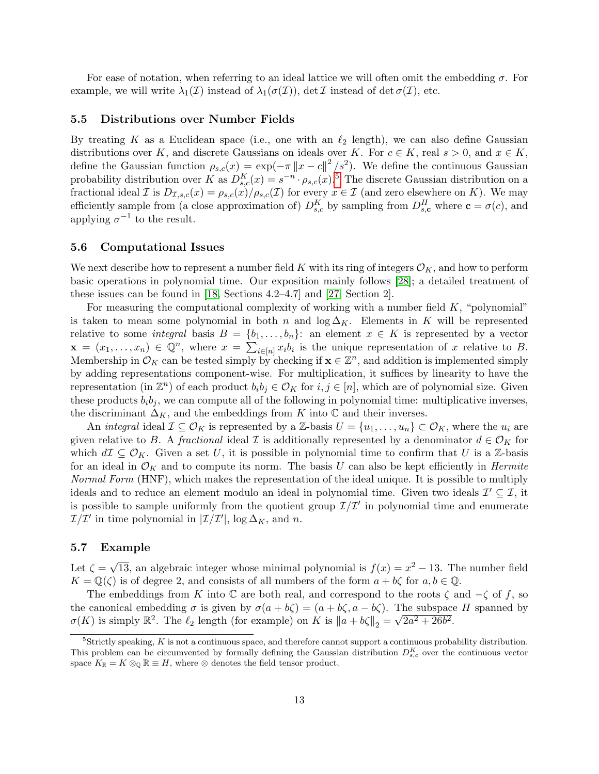For ease of notation, when referring to an ideal lattice we will often omit the embedding  $\sigma$ . For example, we will write  $\lambda_1(\mathcal{I})$  instead of  $\lambda_1(\sigma(\mathcal{I}))$ , det  $\mathcal I$  instead of det  $\sigma(\mathcal{I})$ , etc.

#### 5.5 Distributions over Number Fields

By treating K as a Euclidean space (i.e., one with an  $\ell_2$  length), we can also define Gaussian distributions over K, and discrete Gaussians on ideals over K. For  $c \in K$ , real  $s > 0$ , and  $x \in K$ , define the Gaussian function  $\rho_{s,c}(x) = \exp(-\pi \|x-c\|^2 / s^2)$ . We define the continuous Gaussian probability distribution over K as  $D_{s,c}^{K}(x) = s^{-n} \cdot \rho_{s,c}(x)$ .<sup>[5](#page-12-0)</sup> The discrete Gaussian distribution on a fractional ideal I is  $D_{\mathcal{I},s,c}(x) = \rho_{s,c}(x)/\rho_{s,c}(x)$  for every  $x \in \mathcal{I}$  (and zero elsewhere on K). We may efficiently sample from (a close approximation of)  $D_{s,c}^{K}$  by sampling from  $D_{s,c}^{H}$  where  $\mathbf{c} = \sigma(c)$ , and applying  $\sigma^{-1}$  to the result.

#### 5.6 Computational Issues

We next describe how to represent a number field K with its ring of integers  $\mathcal{O}_K$ , and how to perform basic operations in polynomial time. Our exposition mainly follows [\[28\]](#page-29-10); a detailed treatment of these issues can be found in [\[18,](#page-28-15) Sections 4.2–4.7] and [\[27,](#page-29-14) Section 2].

For measuring the computational complexity of working with a number field  $K$ , "polynomial" is taken to mean some polynomial in both n and  $\log \Delta_K$ . Elements in K will be represented relative to some *integral* basis  $B = \{b_1, \ldots, b_n\}$ : an element  $x \in K$  is represented by a vector  $\mathbf{x} = (x_1, \ldots, x_n) \in \mathbb{Q}^n$ , where  $x = \sum_{i \in [n]} x_i b_i$  is the unique representation of x relative to B. Membership in  $\mathcal{O}_K$  can be tested simply by checking if  $\mathbf{x} \in \mathbb{Z}^n$ , and addition is implemented simply by adding representations component-wise. For multiplication, it suffices by linearity to have the representation (in  $\mathbb{Z}^n$ ) of each product  $b_i b_j \in \mathcal{O}_K$  for  $i, j \in [n]$ , which are of polynomial size. Given these products  $b_i b_j$ , we can compute all of the following in polynomial time: multiplicative inverses, the discriminant  $\Delta_K$ , and the embeddings from K into  $\mathbb C$  and their inverses.

An *integral* ideal  $\mathcal{I} \subseteq \mathcal{O}_K$  is represented by a Z-basis  $U = \{u_1, \ldots, u_n\} \subset \mathcal{O}_K$ , where the  $u_i$  are given relative to B. A fractional ideal I is additionally represented by a denominator  $d \in \mathcal{O}_K$  for which  $d\mathcal{I} \subseteq \mathcal{O}_K$ . Given a set U, it is possible in polynomial time to confirm that U is a Z-basis for an ideal in  $\mathcal{O}_K$  and to compute its norm. The basis U can also be kept efficiently in *Hermite* Normal Form (HNF), which makes the representation of the ideal unique. It is possible to multiply ideals and to reduce an element modulo an ideal in polynomial time. Given two ideals  $\mathcal{I}' \subseteq \mathcal{I}$ , it is possible to sample uniformly from the quotient group  $\mathcal{I}/\mathcal{I}'$  in polynomial time and enumerate  $\mathcal{I}/\mathcal{I}'$  in time polynomial in  $|\mathcal{I}/\mathcal{I}'|$ ,  $\log \Delta_K$ , and n.

### 5.7 Example

Let  $\zeta =$ √ 13, an algebraic integer whose minimal polynomial is  $f(x) = x^2 - 13$ . The number field  $K = \mathbb{Q}(\zeta)$  is of degree 2, and consists of all numbers of the form  $a + b\zeta$  for  $a, b \in \mathbb{Q}$ .

The embeddings from K into  $\mathbb C$  are both real, and correspond to the roots  $\zeta$  and  $-\zeta$  of f, so the canonical embedding  $\sigma$  is given by  $\sigma(a+b\zeta) = (a+b\zeta, a-b\zeta)$ . The subspace H spanned by  $\sigma(K)$  is simply  $\mathbb{R}^2$ . The  $\ell_2$  length (for example) on K is  $\|a + b\zeta\|_2 = \sqrt{2a^2 + 26b^2}$ .

<span id="page-12-0"></span> $5$ Strictly speaking,  $K$  is not a continuous space, and therefore cannot support a continuous probability distribution. This problem can be circumvented by formally defining the Gaussian distribution  $D_{s,c}^K$  over the continuous vector space  $K_{\mathbb{R}} = K \otimes_{\mathbb{Q}} \mathbb{R} \equiv H$ , where  $\otimes$  denotes the field tensor product.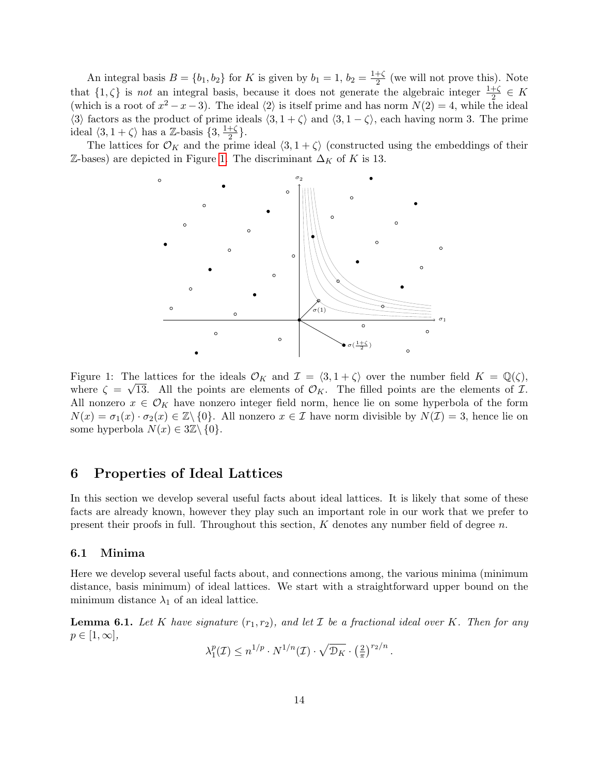An integral basis  $B = \{b_1, b_2\}$  for K is given by  $b_1 = 1, b_2 = \frac{1+\zeta}{2}$  $\frac{+6}{2}$  (we will not prove this). Note that  $\{1,\zeta\}$  is not an integral basis, because it does not generate the algebraic integer  $\frac{1+\zeta}{2} \in K$ (which is a root of  $x^2 - x - 3$ ). The ideal  $\langle 2 \rangle$  is itself prime and has norm  $N(2) = 4$ , while the ideal  $\langle 3 \rangle$  factors as the product of prime ideals  $\langle 3, 1 + \zeta \rangle$  and  $\langle 3, 1 - \zeta \rangle$ , each having norm 3. The prime ideal  $\langle 3, 1 + \zeta \rangle$  has a Z-basis  $\{3, \frac{1+\zeta}{2}\}$  $\frac{+6}{2}$ .

The lattices for  $\mathcal{O}_K$  and the prime ideal  $\langle 3, 1 + \zeta \rangle$  (constructed using the embeddings of their  $\mathbb{Z}$ -bases) are depicted in Figure [1.](#page-13-0) The discriminant  $\Delta_K$  of K is 13.



<span id="page-13-0"></span>Figure 1: The lattices for the ideals  $\mathcal{O}_K$  and  $\mathcal{I} = \langle 3, 1 + \zeta \rangle$  over the number field  $K = \mathbb{Q}(\zeta)$ , where  $\zeta = \sqrt{13}$ . All the points are elements of  $\mathcal{O}_K$ . The filled points are the elements of  $\mathcal{I}$ . All nonzero  $x \in \mathcal{O}_K$  have nonzero integer field norm, hence lie on some hyperbola of the form  $N(x) = \sigma_1(x) \cdot \sigma_2(x) \in \mathbb{Z} \setminus \{0\}.$  All nonzero  $x \in \mathcal{I}$  have norm divisible by  $N(\mathcal{I}) = 3$ , hence lie on some hyperbola  $N(x) \in 3\mathbb{Z}\setminus\{0\}.$ 

### 6 Properties of Ideal Lattices

In this section we develop several useful facts about ideal lattices. It is likely that some of these facts are already known, however they play such an important role in our work that we prefer to present their proofs in full. Throughout this section,  $K$  denotes any number field of degree  $n$ .

#### <span id="page-13-2"></span>6.1 Minima

Here we develop several useful facts about, and connections among, the various minima (minimum distance, basis minimum) of ideal lattices. We start with a straightforward upper bound on the minimum distance  $\lambda_1$  of an ideal lattice.

<span id="page-13-1"></span>**Lemma 6.1.** Let K have signature  $(r_1, r_2)$ , and let I be a fractional ideal over K. Then for any  $p \in [1,\infty],$ 

> $\lambda_1^p$  $\frac{p}{1}(\mathcal{I}) \leq n^{1/p} \cdot N^{1/n}(\mathcal{I}) \cdot \sqrt{\mathcal{D}_K} \cdot \big(\frac{2}{\pi}\big)$  $\frac{2}{\pi}\right)^{r_2/n}$ .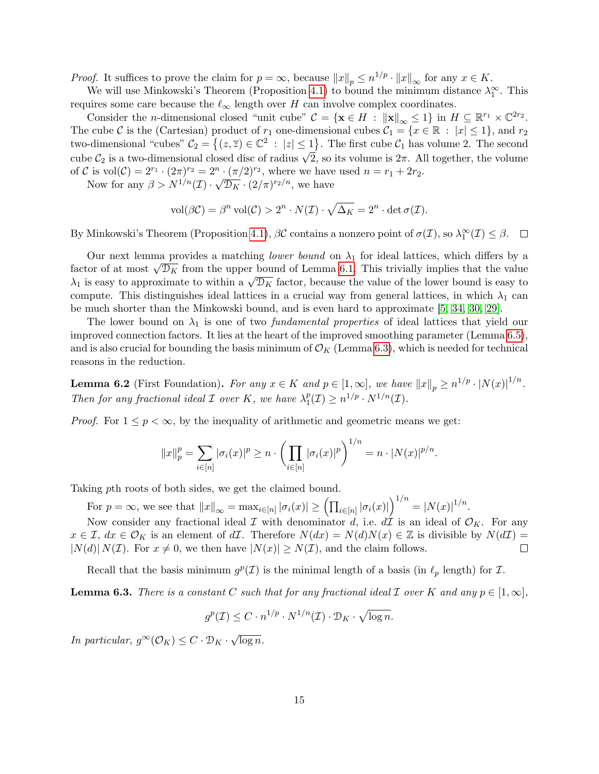*Proof.* It suffices to prove the claim for  $p = \infty$ , because  $||x||_p \leq n^{1/p} \cdot ||x||_{\infty}$  for any  $x \in K$ .

We will use Minkowski's Theorem (Proposition [4.1\)](#page-8-0) to bound the minimum distance  $\lambda_1^{\infty}$ . This requires some care because the  $\ell_{\infty}$  length over H can involve complex coordinates.

Consider the *n*-dimensional closed "unit cube"  $C = {\mathbf{x} \in H : ||\mathbf{x}||_{\infty} \leq 1}$  in  $H \subseteq \mathbb{R}^{r_1} \times \mathbb{C}^{2r_2}$ . The cube C is the (Cartesian) product of  $r_1$  one-dimensional cubes  $C_1 = \{x \in \mathbb{R} : |x| \leq 1\}$ , and  $r_2$ two-dimensional "cubes"  $C_2 = \{(z,\overline{z}) \in \mathbb{C}^2 : |z| \leq 1\}$ . The first cube  $C_1$  has volume 2. The second two-dimensional closed  $C_2 - \{(2, 2) \in \mathbb{C} : |2| \ge 1\}$ . The first close  $C_1$  has volume 2. The second closed disc of radius  $\sqrt{2}$ , so its volume is  $2\pi$ . All together, the volume of C is  $\mathrm{vol}(\mathcal{C}) = 2^{r_1} \cdot (2\pi)^{r_2} = 2^n \cdot (\pi/2)^{r_2}$ , where we have used  $n = r_1 + 2r_2$ .

Now for any  $\beta > N^{1/n}(\mathcal{I}) \cdot \sqrt{\mathcal{D}_K} \cdot (2/\pi)^{r_2/n}$ , we have

$$
\text{vol}(\beta \mathcal{C}) = \beta^n \text{ vol}(\mathcal{C}) > 2^n \cdot N(\mathcal{I}) \cdot \sqrt{\Delta_K} = 2^n \cdot \det \sigma(\mathcal{I}).
$$

By Minkowski's Theorem (Proposition [4.1\)](#page-8-0),  $\beta \mathcal{C}$  contains a nonzero point of  $\sigma(\mathcal{I})$ , so  $\lambda_1^{\infty}(\mathcal{I}) \leq \beta$ .  $\Box$ 

Our next lemma provides a matching *lower bound* on  $\lambda_1$  for ideal lattices, which differs by a Our flext femma provides a matching *lower bound* on  $\lambda_1$  for ideal fattices, which differs by a factor of at most  $\sqrt{\mathcal{D}_K}$  from the upper bound of Lemma [6.1.](#page-13-1) This trivially implies that the value actor of at most  $\sqrt{\nu_K}$  from the upper bound of Lemma 6.1. This trivially implies that the value  $\lambda_1$  is easy to approximate to within a  $\sqrt{\mathcal{D}_K}$  factor, because the value of the lower bound is easy to compute. This distinguishes ideal lattices in a crucial way from general lattices, in which  $\lambda_1$  can be much shorter than the Minkowski bound, and is even hard to approximate [\[5,](#page-27-2) [34,](#page-29-3) [30,](#page-29-4) [29\]](#page-29-5).

The lower bound on  $\lambda_1$  is one of two *fundamental properties* of ideal lattices that yield our improved connection factors. It lies at the heart of the improved smoothing parameter (Lemma [6.5\)](#page-15-0), and is also crucial for bounding the basis minimum of  $\mathcal{O}_K$  (Lemma [6.3\)](#page-14-0), which is needed for technical reasons in the reduction.

<span id="page-14-1"></span>**Lemma 6.2** (First Foundation). For any  $x \in K$  and  $p \in [1, \infty]$ , we have  $||x||_p \ge n^{1/p} \cdot |N(x)|^{1/n}$ . Then for any fractional ideal  $\mathcal I$  over  $K$ , we have  $\lambda_1^p$  $n_1^p(\mathcal{I}) \geq n^{1/p} \cdot N^{1/n}(\mathcal{I}).$ 

*Proof.* For  $1 \leq p < \infty$ , by the inequality of arithmetic and geometric means we get:

$$
||x||_p^p = \sum_{i \in [n]} |\sigma_i(x)|^p \ge n \cdot \left(\prod_{i \in [n]} |\sigma_i(x)|^p\right)^{1/n} = n \cdot |N(x)|^{p/n}.
$$

Taking pth roots of both sides, we get the claimed bound.

For  $p = \infty$ , we see that  $||x||_{\infty} = \max_{i \in [n]} |\sigma_i(x)| \ge \left( \prod_{i \in [n]} |\sigma_i(x)| \right)^{1/n} = |N(x)|^{1/n}$ .

Now consider any fractional ideal I with denominator d, i.e.  $d\mathcal{I}$  is an ideal of  $\mathcal{O}_K$ . For any  $x \in \mathcal{I}$ ,  $dx \in \mathcal{O}_K$  is an element of  $d\mathcal{I}$ . Therefore  $N(dx) = N(d)N(x) \in \mathbb{Z}$  is divisible by  $N(d\mathcal{I}) =$  $|N(d)| N(\mathcal{I})$ . For  $x \neq 0$ , we then have  $|N(x)| \geq N(\mathcal{I})$ , and the claim follows. П

Recall that the basis minimum  $g^p(\mathcal{I})$  is the minimal length of a basis (in  $\ell_p$  length) for  $\mathcal{I}$ .

<span id="page-14-0"></span>**Lemma 6.3.** There is a constant C such that for any fractional ideal I over K and any  $p \in [1,\infty)$ ,

$$
g^{p}(\mathcal{I}) \leq C \cdot n^{1/p} \cdot N^{1/n}(\mathcal{I}) \cdot \mathcal{D}_{K} \cdot \sqrt{\log n}.
$$

In particular,  $g^{\infty}(\mathcal{O}_K) \leq C \cdot \mathcal{D}_K \cdot \sqrt{\frac{g^{\infty}(\mathcal{O}_K)}{T}}$  $\overline{\log n}$ .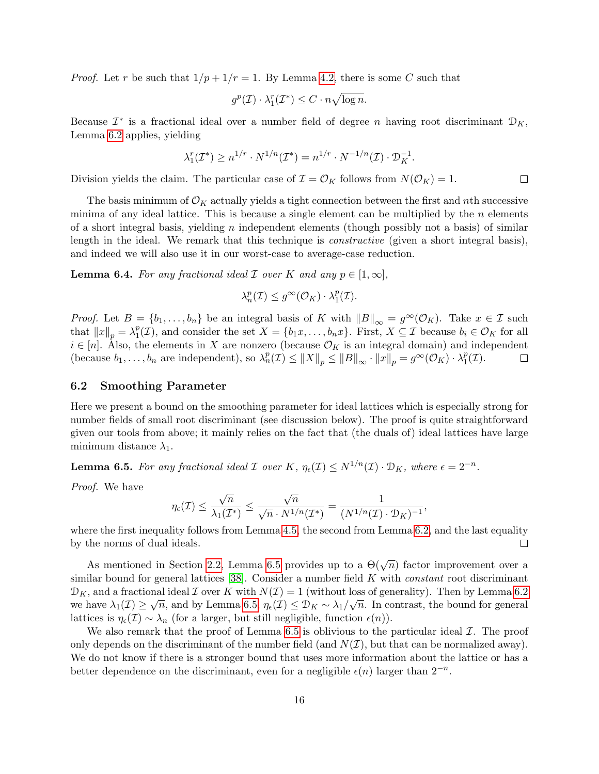*Proof.* Let r be such that  $1/p + 1/r = 1$ . By Lemma [4.2,](#page-8-1) there is some C such that

$$
g^{p}(\mathcal{I}) \cdot \lambda_{1}^{r}(\mathcal{I}^{*}) \leq C \cdot n \sqrt{\log n}.
$$

Because  $\mathcal{I}^*$  is a fractional ideal over a number field of degree n having root discriminant  $\mathcal{D}_K$ , Lemma [6.2](#page-14-1) applies, yielding

$$
\lambda_1^r(\mathcal{I}^*) \ge n^{1/r} \cdot N^{1/n}(\mathcal{I}^*) = n^{1/r} \cdot N^{-1/n}(\mathcal{I}) \cdot \mathcal{D}_K^{-1}.
$$

Division yields the claim. The particular case of  $\mathcal{I} = \mathcal{O}_K$  follows from  $N(\mathcal{O}_K) = 1$ .  $\Box$ 

The basis minimum of  $\mathcal{O}_K$  actually yields a tight connection between the first and nth successive minima of any ideal lattice. This is because a single element can be multiplied by the  $n$  elements of a short integral basis, yielding  $n$  independent elements (though possibly not a basis) of similar length in the ideal. We remark that this technique is *constructive* (given a short integral basis), and indeed we will also use it in our worst-case to average-case reduction.

**Lemma 6.4.** For any fractional ideal  $\mathcal I$  over  $K$  and any  $p \in [1,\infty]$ ,

$$
\lambda_n^p(\mathcal{I}) \le g^\infty(\mathcal{O}_K) \cdot \lambda_1^p(\mathcal{I}).
$$

*Proof.* Let  $B = \{b_1, \ldots, b_n\}$  be an integral basis of K with  $||B||_{\infty} = g^{\infty}(\mathcal{O}_K)$ . Take  $x \in \mathcal{I}$  such that  $||x||_p = \lambda_1^p$  $_{1}^{p}(\mathcal{I})$ , and consider the set  $X = \{b_1x, \ldots, b_nx\}$ . First,  $X \subseteq \mathcal{I}$  because  $b_i \in \mathcal{O}_K$  for all  $i \in [n]$ . Also, the elements in X are nonzero (because  $\mathcal{O}_K$  is an integral domain) and independent (because  $b_1, \ldots, b_n$  are independent), so  $\lambda_n^p(\mathcal{I}) \leq ||X||_p \leq ||B||_\infty \cdot ||x||_p = g^\infty(\mathcal{O}_K) \cdot \lambda_1^p$  $_{1}^{p}(\mathcal{I}).$  $\Box$ 

### 6.2 Smoothing Parameter

Here we present a bound on the smoothing parameter for ideal lattices which is especially strong for number fields of small root discriminant (see discussion below). The proof is quite straightforward given our tools from above; it mainly relies on the fact that (the duals of) ideal lattices have large minimum distance  $\lambda_1$ .

<span id="page-15-0"></span>**Lemma 6.5.** For any fractional ideal  $\mathcal I$  over  $K$ ,  $\eta_{\epsilon}(\mathcal I) \leq N^{1/n}(\mathcal I) \cdot \mathcal D_K$ , where  $\epsilon = 2^{-n}$ .

Proof. We have

$$
\eta_{\epsilon}(\mathcal{I}) \leq \frac{\sqrt{n}}{\lambda_1(\mathcal{I}^*)} \leq \frac{\sqrt{n}}{\sqrt{n} \cdot N^{1/n}(\mathcal{I}^*)} = \frac{1}{(N^{1/n}(\mathcal{I}) \cdot \mathcal{D}_K)^{-1}},
$$

where the first inequality follows from Lemma [4.5,](#page-9-0) the second from Lemma [6.2,](#page-14-1) and the last equality by the norms of dual ideals.  $\Box$ 

As mentioned in Section [2.2,](#page-4-0) Lemma [6.5](#page-15-0) provides up to a  $\Theta(\sqrt{n})$  factor improvement over a similar bound for general lattices  $[38]$ . Consider a number field K with *constant* root discriminant  $\mathcal{D}_K$ , and a fractional ideal  $\mathcal I$  over  $K$  with  $N(\mathcal I) = 1$  (without loss of generality). Then by Lemma [6.2](#page-14-1) we have  $\lambda_1(\mathcal{I}) \geq \sqrt{n}$ , and by Lemma [6.5,](#page-15-0)  $\eta_{\epsilon}(\mathcal{I}) \leq \mathcal{D}_K \sim \lambda_1/\sqrt{n}$ . In contrast, the bound for general lattices is  $\eta_{\epsilon}(\mathcal{I}) \sim \lambda_n$  (for a larger, but still negligible, function  $\epsilon(n)$ ).

We also remark that the proof of Lemma  $6.5$  is oblivious to the particular ideal  $\mathcal{I}$ . The proof only depends on the discriminant of the number field (and  $N(\mathcal{I})$ , but that can be normalized away). We do not know if there is a stronger bound that uses more information about the lattice or has a better dependence on the discriminant, even for a negligible  $\epsilon(n)$  larger than  $2^{-n}$ .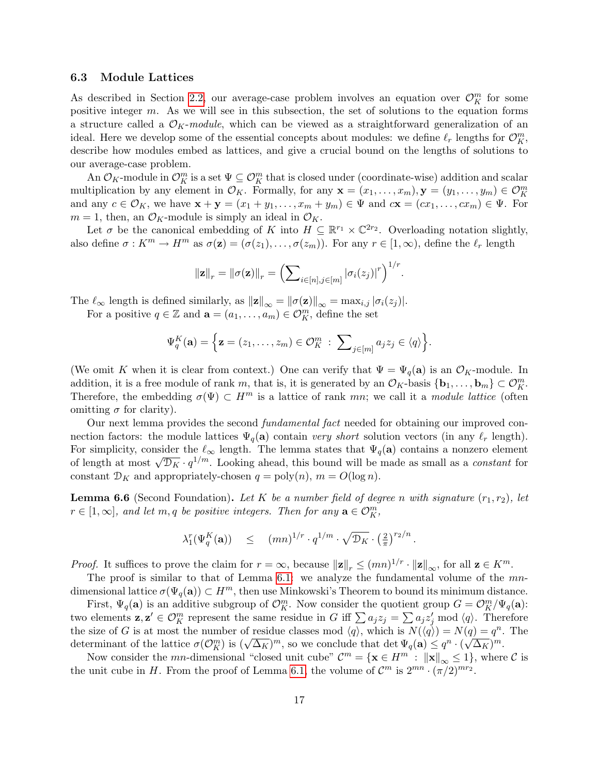#### <span id="page-16-1"></span>6.3 Module Lattices

As described in Section [2.2,](#page-4-0) our average-case problem involves an equation over  $\mathcal{O}_K^m$  for some positive integer m. As we will see in this subsection, the set of solutions to the equation forms a structure called a  $\mathcal{O}_K$ -module, which can be viewed as a straightforward generalization of an ideal. Here we develop some of the essential concepts about modules: we define  $\ell_r$  lengths for  $\mathcal{O}_K^m$ , describe how modules embed as lattices, and give a crucial bound on the lengths of solutions to our average-case problem.

An  $\mathcal{O}_K$ -module in  $\mathcal{O}_K^m$  is a set  $\Psi \subseteq \mathcal{O}_K^m$  that is closed under (coordinate-wise) addition and scalar multiplication by any element in  $\mathcal{O}_K$ . Formally, for any  $\mathbf{x} = (x_1, \ldots, x_m), \mathbf{y} = (y_1, \ldots, y_m) \in \mathcal{O}_K^m$ and any  $c \in \mathcal{O}_K$ , we have  $\mathbf{x} + \mathbf{y} = (x_1 + y_1, \dots, x_m + y_m) \in \Psi$  and  $c\mathbf{x} = (cx_1, \dots, cx_m) \in \Psi$ . For  $m = 1$ , then, an  $\mathcal{O}_K$ -module is simply an ideal in  $\mathcal{O}_K$ .

Let  $\sigma$  be the canonical embedding of K into  $H \subseteq \mathbb{R}^{r_1} \times \mathbb{C}^{2r_2}$ . Overloading notation slightly, also define  $\sigma: K^m \to H^m$  as  $\sigma(\mathbf{z}) = (\sigma(z_1), \ldots, \sigma(z_m))$ . For any  $r \in [1, \infty)$ , define the  $\ell_r$  length

$$
\|\mathbf{z}\|_{r} = \|\sigma(\mathbf{z})\|_{r} = \left(\sum_{i \in [n], j \in [m]} |\sigma_i(z_j)|^r\right)^{1/r}.
$$

The  $\ell_{\infty}$  length is defined similarly, as  $||\mathbf{z}||_{\infty} = ||\sigma(\mathbf{z})||_{\infty} = \max_{i,j} |\sigma_i(z_j)|$ .

For a positive  $q \in \mathbb{Z}$  and  $\mathbf{a} = (a_1, \dots, a_m) \in \mathcal{O}_K^m$ , define the set

$$
\Psi_q^K(\mathbf{a}) = \Big\{ \mathbf{z} = (z_1, \dots, z_m) \in \mathcal{O}_K^m \: : \: \sum_{j \in [m]} a_j z_j \in \langle q \rangle \Big\}.
$$

(We omit K when it is clear from context.) One can verify that  $\Psi = \Psi_q(\mathbf{a})$  is an  $\mathcal{O}_K$ -module. In addition, it is a free module of rank m, that is, it is generated by an  $\mathcal{O}_K$ -basis  $\{\mathbf{b}_1, \ldots, \mathbf{b}_m\} \subset \mathcal{O}_K^m$ . Therefore, the embedding  $\sigma(\Psi) \subset H^m$  is a lattice of rank mn; we call it a module lattice (often omitting  $\sigma$  for clarity).

Our next lemma provides the second fundamental fact needed for obtaining our improved connection factors: the module lattices  $\Psi_q(\mathbf{a})$  contain very short solution vectors (in any  $\ell_r$  length). For simplicity, consider the  $\ell_{\infty}$  length. The lemma states that  $\Psi_q(\mathbf{a})$  contains a nonzero element For simplicity, consider the  $\ell_{\infty}$  length. The lemma states that  $\Psi_q(\mathbf{a})$  contains a nonzero element of length at most  $\sqrt{\mathcal{D}_K} \cdot q^{1/m}$ . Looking ahead, this bound will be made as small as a *constant* for constant  $\mathcal{D}_K$  and appropriately-chosen  $q = \text{poly}(n)$ ,  $m = O(\log n)$ .

<span id="page-16-0"></span>**Lemma 6.6** (Second Foundation). Let K be a number field of degree n with signature  $(r_1, r_2)$ , let  $r \in [1, \infty]$ , and let m, q be positive integers. Then for any  $\mathbf{a} \in \mathcal{O}_{K}^{m}$ ,

$$
\lambda_1^r(\Psi_q^K(\mathbf{a})) \leq (mn)^{1/r} \cdot q^{1/m} \cdot \sqrt{\mathcal{D}_K} \cdot \left(\frac{2}{\pi}\right)^{r_2/n}.
$$

*Proof.* It suffices to prove the claim for  $r = \infty$ , because  $||\mathbf{z}||_r \leq (mn)^{1/r} \cdot ||\mathbf{z}||_{\infty}$ , for all  $\mathbf{z} \in K^m$ .

The proof is similar to that of Lemma [6.1:](#page-13-1) we analyze the fundamental volume of the  $mn$ dimensional lattice  $\sigma(\Psi_q(\mathbf{a})) \subset H^m$ , then use Minkowski's Theorem to bound its minimum distance.

First,  $\Psi_q(\mathbf{a})$  is an additive subgroup of  $\mathcal{O}_K^m$ . Now consider the quotient group  $G = \mathcal{O}_K^m / \Psi_q(\mathbf{a})$ : two elements  $\mathbf{z}, \mathbf{z}' \in \mathcal{O}_K^m$  represent the same residue in G iff  $\sum a_j z_j = \sum a_j z'_j \bmod \langle q \rangle$ . Therefore the size of G is at most the number of residue classes mod  $\langle q \rangle$ , which is  $N(\langle q \rangle) = N(q) = q^n$ . The determinant of the lattice  $\sigma(\mathcal{O}_K^m)$  is  $(\sqrt{\Delta_K})^m$ , so we conclude that det  $\Psi_q(\mathbf{a}) \leq q^n \cdot (\sqrt{\Delta_K})^m$ .

Now consider the mn-dimensional "closed unit cube"  $\mathcal{C}^m = \{ \mathbf{x} \in H^m : ||\mathbf{x}||_{\infty} \leq 1 \}$ , where  $\mathcal{C}$  is the unit cube in H. From the proof of Lemma [6.1,](#page-13-1) the volume of  $\mathcal{C}^m$  is  $2^{mn} \cdot (\pi/2)^{mr_2}$ .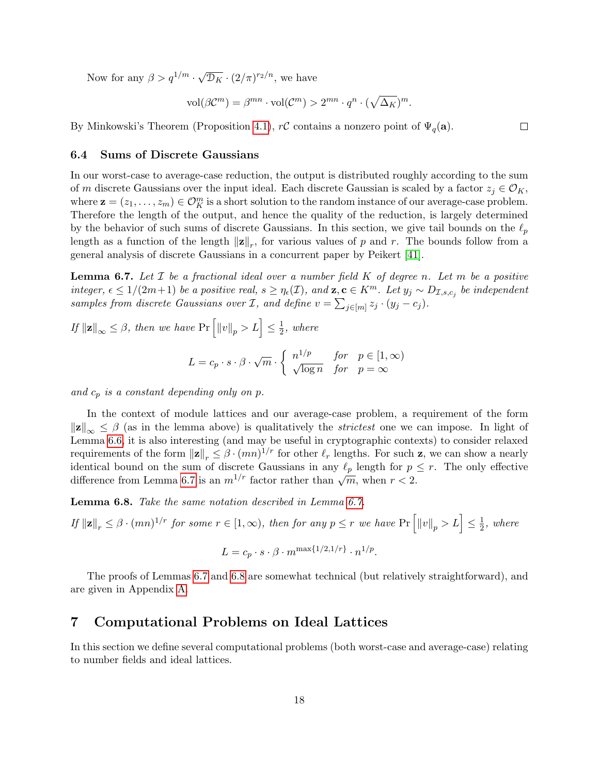Now for any  $\beta > q^{1/m} \cdot \sqrt{ }$  $\overline{\mathcal{D}_K} \cdot (2/\pi)^{r_2/n}$ , we have

$$
\text{vol}(\beta \mathcal{C}^m) = \beta^{mn} \cdot \text{vol}(\mathcal{C}^m) > 2^{mn} \cdot q^n \cdot (\sqrt{\Delta_K})^m.
$$

By Minkowski's Theorem (Proposition [4.1\)](#page-8-0),  $r\mathcal{C}$  contains a nonzero point of  $\Psi_q(\mathbf{a})$ .

#### 6.4 Sums of Discrete Gaussians

In our worst-case to average-case reduction, the output is distributed roughly according to the sum of m discrete Gaussians over the input ideal. Each discrete Gaussian is scaled by a factor  $z_j \in \mathcal{O}_K$ , where  $\mathbf{z} = (z_1, \ldots, z_m) \in \mathcal{O}_K^m$  is a short solution to the random instance of our average-case problem. Therefore the length of the output, and hence the quality of the reduction, is largely determined by the behavior of such sums of discrete Gaussians. In this section, we give tail bounds on the  $\ell_p$ length as a function of the length  $||\mathbf{z}||_r$ , for various values of p and r. The bounds follow from a general analysis of discrete Gaussians in a concurrent paper by Peikert [\[41\]](#page-29-12).

<span id="page-17-0"></span>**Lemma 6.7.** Let  $\mathcal{I}$  be a fractional ideal over a number field  $K$  of degree n. Let m be a positive integer,  $\epsilon \leq 1/(2m+1)$  be a positive real,  $s \geq \eta_{\epsilon}(\mathcal{I})$ , and  $\mathbf{z}, \mathbf{c} \in K^m$ . Let  $y_j \sim D_{\mathcal{I},s,c_j}$  be independent samples from discrete Gaussians over *I*, and define  $v = \sum_{j \in [m]} z_j \cdot (y_j - c_j)$ .

If  $||\mathbf{z}||_{\infty} \leq \beta$ , then we have  $\Pr \left[ ||v||_p > L \right] \leq \frac{1}{2}$  $\frac{1}{2}$ , where

$$
L = c_p \cdot s \cdot \beta \cdot \sqrt{m} \cdot \begin{cases} n^{1/p} & \text{for} \quad p \in [1, \infty) \\ \sqrt{\log n} & \text{for} \quad p = \infty \end{cases}
$$

and  $c_p$  is a constant depending only on p.

In the context of module lattices and our average-case problem, a requirement of the form  $\|\mathbf{z}\|_{\infty} \leq \beta$  (as in the lemma above) is qualitatively the *strictest* one we can impose. In light of Lemma [6.6,](#page-16-0) it is also interesting (and may be useful in cryptographic contexts) to consider relaxed requirements of the form  $\|\mathbf{z}\|_r \leq \beta \cdot (mn)^{1/r}$  for other  $\ell_r$  lengths. For such z, we can show a nearly identical bound on the sum of discrete Gaussians in any  $\ell_p$  length for  $p \leq r$ . The only effective difference from Lemma [6.7](#page-17-0) is an  $m^{1/r}$  factor rather than  $\sqrt{m}$ , when  $r < 2$ .

<span id="page-17-1"></span>Lemma 6.8. Take the same notation described in Lemma [6.7.](#page-17-0)

If 
$$
||z||_r \leq \beta \cdot (mn)^{1/r}
$$
 for some  $r \in [1, \infty)$ , then for any  $p \leq r$  we have  $\Pr [||v||_p > L] \leq \frac{1}{2}$ , where

$$
L = c_p \cdot s \cdot \beta \cdot m^{\max\{1/2, 1/r\}} \cdot n^{1/p}.
$$

The proofs of Lemmas [6.7](#page-17-0) and [6.8](#page-17-1) are somewhat technical (but relatively straightforward), and are given in Appendix [A.](#page-30-6)

# 7 Computational Problems on Ideal Lattices

In this section we define several computational problems (both worst-case and average-case) relating to number fields and ideal lattices.

 $\Box$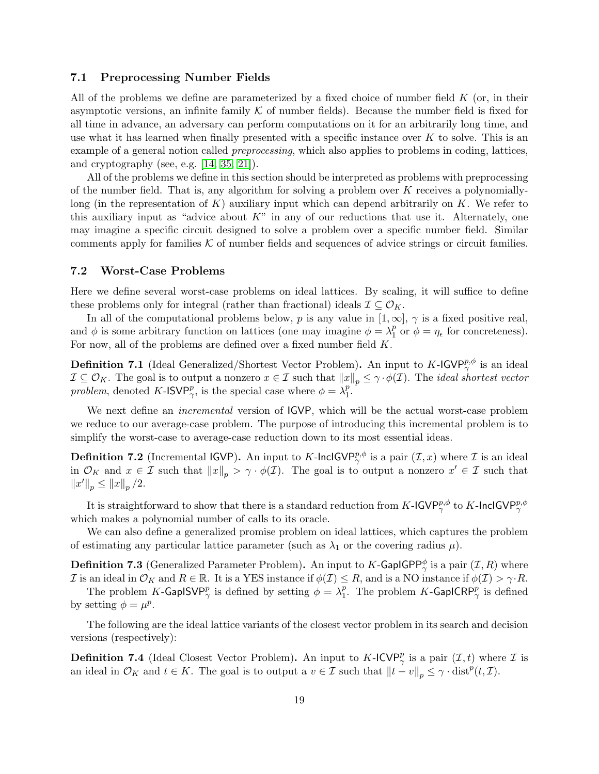#### 7.1 Preprocessing Number Fields

All of the problems we define are parameterized by a fixed choice of number field  $K$  (or, in their asymptotic versions, an infinite family  $K$  of number fields). Because the number field is fixed for all time in advance, an adversary can perform computations on it for an arbitrarily long time, and use what it has learned when finally presented with a specific instance over  $K$  to solve. This is an example of a general notion called preprocessing, which also applies to problems in coding, lattices, and cryptography (see, e.g. [\[14,](#page-28-4) [35,](#page-29-9) [21\]](#page-28-5)).

All of the problems we define in this section should be interpreted as problems with preprocessing of the number field. That is, any algorithm for solving a problem over  $K$  receives a polynomiallylong (in the representation of  $K$ ) auxiliary input which can depend arbitrarily on  $K$ . We refer to this auxiliary input as "advice about  $K$ " in any of our reductions that use it. Alternately, one may imagine a specific circuit designed to solve a problem over a specific number field. Similar comments apply for families  $K$  of number fields and sequences of advice strings or circuit families.

#### 7.2 Worst-Case Problems

Here we define several worst-case problems on ideal lattices. By scaling, it will suffice to define these problems only for integral (rather than fractional) ideals  $\mathcal{I} \subseteq \mathcal{O}_K$ .

In all of the computational problems below, p is any value in  $[1,\infty]$ ,  $\gamma$  is a fixed positive real, and  $\phi$  is some arbitrary function on lattices (one may imagine  $\phi = \lambda_1^p$  $_{1}^{p}$  or  $\phi = \eta_{\epsilon}$  for concreteness). For now, all of the problems are defined over a fixed number field K.

**Definition 7.1** (Ideal Generalized/Shortest Vector Problem). An input to K-IGVP<sup>p, $\phi$ </sup> is an ideal  $\mathcal{I} \subseteq \mathcal{O}_K$ . The goal is to output a nonzero  $x \in \mathcal{I}$  such that  $||x||_p \leq \gamma \cdot \phi(\mathcal{I})$ . The *ideal shortest vector* problem, denoted K-ISVP<sup>p</sup><sub>7</sub>, is the special case where  $\phi = \lambda_1^p$  $\frac{p}{1}$ .

We next define an *incremental* version of IGVP, which will be the actual worst-case problem we reduce to our average-case problem. The purpose of introducing this incremental problem is to simplify the worst-case to average-case reduction down to its most essential ideas.

**Definition 7.2** (Incremental IGVP). An input to K-IncIGVP<sup>p, $\phi$ </sup> is a pair  $(\mathcal{I},x)$  where  $\mathcal{I}$  is an ideal in  $\mathcal{O}_K$  and  $x \in \mathcal{I}$  such that  $||x||_p > \gamma \cdot \phi(\mathcal{I})$ . The goal is to output a nonzero  $x' \in \mathcal{I}$  such that  $||x'||_p \leq ||x||_p / 2.$ 

It is straightforward to show that there is a standard reduction from  $K$ -IGVP $^{p,\phi}_\gamma$  to  $K$ -InclGVP $^{p,\phi}_\gamma$ which makes a polynomial number of calls to its oracle.

We can also define a generalized promise problem on ideal lattices, which captures the problem of estimating any particular lattice parameter (such as  $\lambda_1$  or the covering radius  $\mu$ ).

**Definition 7.3** (Generalized Parameter Problem). An input to K-GaplGPP $_{\gamma}^{\phi}$  is a pair  $(\mathcal{I}, R)$  where I is an ideal in  $\mathcal{O}_K$  and  $R \in \mathbb{R}$ . It is a YES instance if  $\phi(\mathcal{I}) \leq R$ , and is a NO instance if  $\phi(\mathcal{I}) > \gamma \cdot R$ .

The problem K-GapISVP<sup>p</sup> is defined by setting  $\phi = \lambda_1^p$ <sup>p</sup>. The problem K-GapICRP<sup>p</sup><sub> $\gamma$ </sub> is defined by setting  $\phi = \mu^p$ .

The following are the ideal lattice variants of the closest vector problem in its search and decision versions (respectively):

**Definition 7.4** (Ideal Closest Vector Problem). An input to K-ICVP<sup>p</sup><sub>7</sub> is a pair  $(\mathcal{I}, t)$  where  $\mathcal{I}$  is an ideal in  $\mathcal{O}_K$  and  $t \in K$ . The goal is to output a  $v \in \mathcal{I}$  such that  $||t - v||_p \leq \gamma \cdot \text{dist}^p(t, \mathcal{I})$ .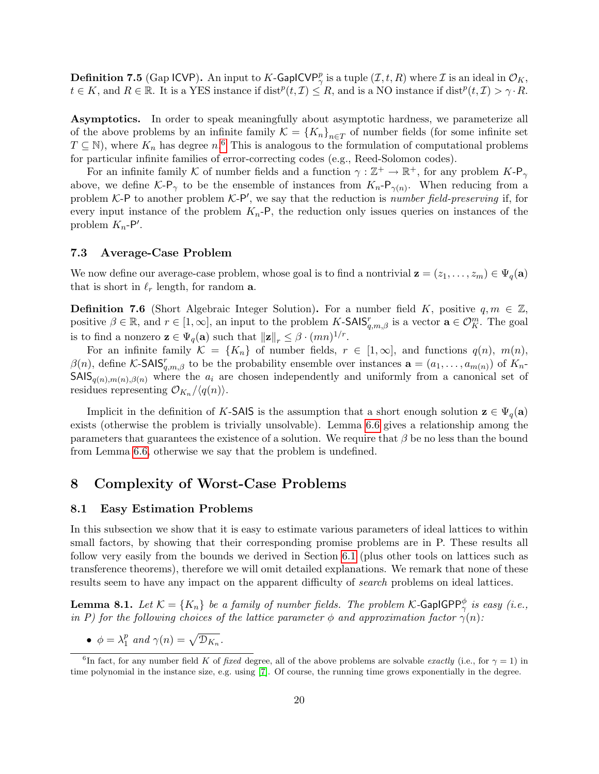**Definition 7.5** (Gap ICVP). An input to  $K$ -GapICVP $^p_\gamma$  is a tuple  $(\mathcal{I},t,R)$  where  $\mathcal{I}$  is an ideal in  $\mathcal{O}_K,$  $t \in K$ , and  $R \in \mathbb{R}$ . It is a YES instance if  $dist^p(t, \mathcal{I}) \leq R$ , and is a NO instance if  $dist^p(t, \mathcal{I}) > \gamma \cdot R$ .

Asymptotics. In order to speak meaningfully about asymptotic hardness, we parameterize all of the above problems by an infinite family  $\mathcal{K} = \{K_n\}_{n \in \mathcal{I}}$  of number fields (for some infinite set  $T \subseteq \mathbb{N}$ , where  $K_n$  has degree n.<sup>[6](#page-19-0)</sup> This is analogous to the formulation of computational problems for particular infinite families of error-correcting codes (e.g., Reed-Solomon codes).

For an infinite family K of number fields and a function  $\gamma : \mathbb{Z}^+ \to \mathbb{R}^+$ , for any problem  $K$ - $P_{\gamma}$ above, we define  $\mathcal{K}\text{-P}_{\gamma}$  to be the ensemble of instances from  $K_n\text{-P}_{\gamma(n)}$ . When reducing from a problem  $K$ -P to another problem  $K$ -P', we say that the reduction is *number field-preserving* if, for every input instance of the problem  $K_n$ -P, the reduction only issues queries on instances of the problem  $K_n$ -P'.

#### 7.3 Average-Case Problem

We now define our average-case problem, whose goal is to find a nontrivial  $\mathbf{z} = (z_1, \ldots, z_m) \in \Psi_q(\mathbf{a})$ that is short in  $\ell_r$  length, for random **a**.

**Definition 7.6** (Short Algebraic Integer Solution). For a number field K, positive  $q, m \in \mathbb{Z}$ , positive  $\beta \in \mathbb{R}$ , and  $r \in [1,\infty]$ , an input to the problem K-SAIS $_{q,m,\beta}^r$  is a vector  $\mathbf{a} \in \mathcal{O}_{K}^m$ . The goal is to find a nonzero  $\mathbf{z} \in \Psi_q(\mathbf{a})$  such that  $\|\mathbf{z}\|_r \leq \beta \cdot (mn)^{1/r}$ .

For an infinite family  $\mathcal{K} = \{K_n\}$  of number fields,  $r \in [1,\infty]$ , and functions  $q(n)$ ,  $m(n)$ ,  $\beta(n)$ , define K-SAIS $_{q,m,\beta}^r$  to be the probability ensemble over instances  $\mathbf{a} = (a_1, \ldots, a_{m(n)})$  of  $K_n$ - $SAB_{q(n),m(n),\beta(n)}$  where the  $a_i$  are chosen independently and uniformly from a canonical set of residues representing  $\mathcal{O}_{K_n}/\langle q(n)\rangle$ .

Implicit in the definition of K-SAIS is the assumption that a short enough solution  $\mathbf{z} \in \Psi_q(\mathbf{a})$ exists (otherwise the problem is trivially unsolvable). Lemma [6.6](#page-16-0) gives a relationship among the parameters that guarantees the existence of a solution. We require that  $\beta$  be no less than the bound from Lemma [6.6,](#page-16-0) otherwise we say that the problem is undefined.

# 8 Complexity of Worst-Case Problems

#### 8.1 Easy Estimation Problems

In this subsection we show that it is easy to estimate various parameters of ideal lattices to within small factors, by showing that their corresponding promise problems are in P. These results all follow very easily from the bounds we derived in Section [6.1](#page-13-2) (plus other tools on lattices such as transference theorems), therefore we will omit detailed explanations. We remark that none of these results seem to have any impact on the apparent difficulty of search problems on ideal lattices.

**Lemma 8.1.** Let  $\mathcal{K} = \{K_n\}$  be a family of number fields. The problem  $\mathcal{K}$ -GapIGPP $_{\gamma}^{\phi}$  is easy (i.e., in P) for the following choices of the lattice parameter  $\phi$  and approximation factor  $\gamma(n)$ :

 $\bullet \ \phi = \lambda_1^p$  $_{1}^{p}$  and  $\gamma(n) = \sqrt{\mathcal{D}_{K_n}}$ .

<span id="page-19-0"></span><sup>&</sup>lt;sup>6</sup>In fact, for any number field K of fixed degree, all of the above problems are solvable exactly (i.e., for  $\gamma = 1$ ) in time polynomial in the instance size, e.g. using [\[7\]](#page-27-1). Of course, the running time grows exponentially in the degree.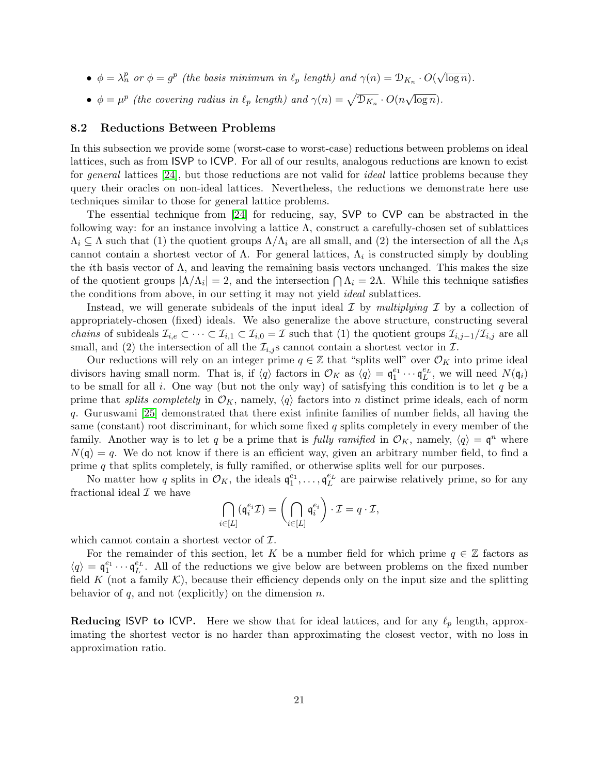- $\phi = \lambda_n^p$  or  $\phi = g^p$  (the basis minimum in  $\ell_p$  length) and  $\gamma(n) = \mathcal{D}_{K_n} \cdot O(n)$ √  $\overline{\log n}$ ).
- $\phi = \mu^p$  (the covering radius in  $\ell_p$  length) and  $\gamma(n) = \sqrt{\mathcal{D}_{K_n}} \cdot O(n)$ √  $\overline{\log n}$ ).

#### 8.2 Reductions Between Problems

In this subsection we provide some (worst-case to worst-case) reductions between problems on ideal lattices, such as from ISVP to ICVP. For all of our results, analogous reductions are known to exist for general lattices [\[24\]](#page-28-7), but those reductions are not valid for ideal lattice problems because they query their oracles on non-ideal lattices. Nevertheless, the reductions we demonstrate here use techniques similar to those for general lattice problems.

The essential technique from [\[24\]](#page-28-7) for reducing, say, SVP to CVP can be abstracted in the following way: for an instance involving a lattice  $\Lambda$ , construct a carefully-chosen set of sublattices  $\Lambda_i \subseteq \Lambda$  such that (1) the quotient groups  $\Lambda/\Lambda_i$  are all small, and (2) the intersection of all the  $\Lambda_i$ s cannot contain a shortest vector of  $\Lambda$ . For general lattices,  $\Lambda_i$  is constructed simply by doubling the *i*th basis vector of  $\Lambda$ , and leaving the remaining basis vectors unchanged. This makes the size of the quotient groups  $|\Lambda/\Lambda_i|=2$ , and the intersection  $\bigcap \Lambda_i=2\Lambda$ . While this technique satisfies the conditions from above, in our setting it may not yield ideal sublattices.

Instead, we will generate subideals of the input ideal  $\mathcal I$  by multiplying  $\mathcal I$  by a collection of appropriately-chosen (fixed) ideals. We also generalize the above structure, constructing several *chains* of subideals  $\mathcal{I}_{i,e} \subset \cdots \subset \mathcal{I}_{i,1} \subset \mathcal{I}_{i,0} = \mathcal{I}$  such that (1) the quotient groups  $\mathcal{I}_{i,j-1}/\mathcal{I}_{i,j}$  are all small, and (2) the intersection of all the  $\mathcal{I}_{i,j}$  s cannot contain a shortest vector in  $\mathcal{I}$ .

Our reductions will rely on an integer prime  $q \in \mathbb{Z}$  that "splits well" over  $\mathcal{O}_K$  into prime ideal divisors having small norm. That is, if  $\langle q \rangle$  factors in  $\mathcal{O}_K$  as  $\langle q \rangle = \mathfrak{q}_1^{e_1} \cdots \mathfrak{q}_L^{e_L}$ , we will need  $N(\mathfrak{q}_i)$ to be small for all i. One way (but not the only way) of satisfying this condition is to let  $q$  be a prime that splits completely in  $\mathcal{O}_K$ , namely,  $\langle q \rangle$  factors into n distinct prime ideals, each of norm q. Guruswami [\[25\]](#page-28-16) demonstrated that there exist infinite families of number fields, all having the same (constant) root discriminant, for which some fixed  $q$  splits completely in every member of the family. Another way is to let q be a prime that is *fully ramified* in  $\mathcal{O}_K$ , namely,  $\langle q \rangle = \mathfrak{q}^n$  where  $N(\mathfrak{q}) = q$ . We do not know if there is an efficient way, given an arbitrary number field, to find a prime q that splits completely, is fully ramified, or otherwise splits well for our purposes.

No matter how q splits in  $\mathcal{O}_K$ , the ideals  $\mathfrak{q}_1^{e_1}, \ldots, \mathfrak{q}_L^{e_L}$  are pairwise relatively prime, so for any fractional ideal  $\mathcal I$  we have

$$
\bigcap_{i\in[L]}(\mathfrak{q}_i^{e_i}\mathcal{I})=\bigcap_{i\in[L]}\mathfrak{q}_i^{e_i}\bigg)\cdot\mathcal{I}=q\cdot\mathcal{I},
$$

which cannot contain a shortest vector of  $\mathcal{I}$ .

For the remainder of this section, let K be a number field for which prime  $q \in \mathbb{Z}$  factors as  $\langle q \rangle = \mathfrak{q}_1^{e_1} \cdots \mathfrak{q}_L^{e_L}$ . All of the reductions we give below are between problems on the fixed number field K (not a family  $K$ ), because their efficiency depends only on the input size and the splitting behavior of  $q$ , and not (explicitly) on the dimension  $n$ .

<span id="page-20-0"></span>**Reducing ISVP to ICVP.** Here we show that for ideal lattices, and for any  $\ell_p$  length, approximating the shortest vector is no harder than approximating the closest vector, with no loss in approximation ratio.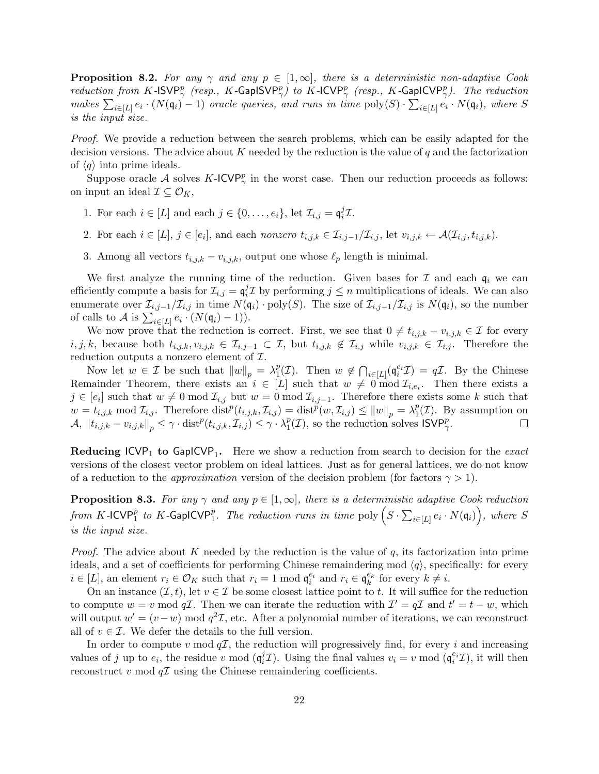**Proposition 8.2.** For any  $\gamma$  and any  $p \in [1,\infty]$ , there is a deterministic non-adaptive Cook reduction from K-ISVP<sub>?</sub> (resp., K-GapISVP<sub>?</sub>) to K-ICVP<sub>?</sub> (resp., K-GapICVP<sub>?</sub>). The reduction makes  $\sum_{i\in[L]}e_i\cdot(N(\mathfrak{q}_i)-1)$  oracle queries, and runs in time  $\text{poly}(S)\cdot\sum_{i\in[L]}e_i\cdot N(\mathfrak{q}_i)$ , where S is the input size.

Proof. We provide a reduction between the search problems, which can be easily adapted for the decision versions. The advice about K needed by the reduction is the value of q and the factorization of  $\langle q \rangle$  into prime ideals.

Suppose oracle A solves K-ICVP<sup>p</sup><sub> $\gamma$ </sub> in the worst case. Then our reduction proceeds as follows: on input an ideal  $\mathcal{I} \subseteq \mathcal{O}_K$ ,

- 1. For each  $i \in [L]$  and each  $j \in \{0, \ldots, e_i\}$ , let  $\mathcal{I}_{i,j} = \mathfrak{q}_i^j$  ${}_{i}^{j} \mathcal{I}.$
- 2. For each  $i \in [L], j \in [e_i]$ , and each nonzero  $t_{i,j,k} \in \mathcal{I}_{i,j-1}/\mathcal{I}_{i,j}$ , let  $v_{i,j,k} \leftarrow \mathcal{A}(\mathcal{I}_{i,j}, t_{i,j,k})$ .
- 3. Among all vectors  $t_{i,j,k} v_{i,j,k}$ , output one whose  $\ell_p$  length is minimal.

We first analyze the running time of the reduction. Given bases for  $\mathcal I$  and each  $\mathfrak q_i$  we can efficiently compute a basis for  $\mathcal{I}_{i,j} = \mathfrak{q}_i^j$  $i<sup>j</sup>Z$  by performing  $j \leq n$  multiplications of ideals. We can also enumerate over  $\mathcal{I}_{i,j-1}/\mathcal{I}_{i,j}$  in time  $N(\mathfrak{q}_i) \cdot \text{poly}(S)$ . The size of  $\mathcal{I}_{i,j-1}/\mathcal{I}_{i,j}$  is  $N(\mathfrak{q}_i)$ , so the number of calls to A is  $\sum_{i\in[L]}e_i\cdot(N(\mathfrak{q}_i)-1)).$ 

We now prove that the reduction is correct. First, we see that  $0 \neq t_{i,j,k} - v_{i,j,k} \in \mathcal{I}$  for every i, j, k, because both  $t_{i,j,k}, v_{i,j,k} \in \mathcal{I}_{i,j-1} \subset \mathcal{I}$ , but  $t_{i,j,k} \notin \mathcal{I}_{i,j}$  while  $v_{i,j,k} \in \mathcal{I}_{i,j}$ . Therefore the reduction outputs a nonzero element of  $\mathcal{I}.$ 

Now let  $w \in \mathcal{I}$  be such that  $||w||_p = \lambda_1^p$  $I_1^p(\mathcal{I})$ . Then  $w \notin \bigcap_{i \in [L]} (\mathfrak{q}_i^{e_i} \mathcal{I}) = q\mathcal{I}$ . By the Chinese Remainder Theorem, there exists an  $i \in [L]$  such that  $w \neq 0 \mod \mathcal{I}_{i,e_i}$ . Then there exists a  $j \in [e_i]$  such that  $w \neq 0 \mod \mathcal{I}_{i,j}$  but  $w = 0 \mod \mathcal{I}_{i,j-1}$ . Therefore there exists some k such that  $w = t_{i,j,k} \bmod \mathcal{I}_{i,j}$ . Therefore  $\text{dist}^p(t_{i,j,k}, \mathcal{I}_{i,j}) = \text{dist}^p(w, \mathcal{I}_{i,j}) \leq ||w||_p = \lambda_1^p$  $_1^p(\mathcal{I})$ . By assumption on  $\mathcal{A},\ {\left\|t_{i,j,k}-v_{i,j,k}\right\|_p} \leq \gamma \cdot \text{dist}^p(t_{i,j,k},\mathcal{I}_{i,j}) \leq \gamma \cdot \lambda_1^p$  $_{1}^{p}(\mathcal{I})$ , so the reduction solves  $ISVP_{\gamma}^{p}$ .  $\Box$ 

**Reducing ICVP<sub>1</sub>** to GapICVP<sub>1</sub>. Here we show a reduction from search to decision for the *exact* versions of the closest vector problem on ideal lattices. Just as for general lattices, we do not know of a reduction to the *approximation* version of the decision problem (for factors  $\gamma > 1$ ).

**Proposition 8.3.** For any  $\gamma$  and any  $p \in [1,\infty]$ , there is a deterministic adaptive Cook reduction from  $K$ -ICVP $_1^p$  to  $K$ -GapICVP $_1^p$ . The reduction runs in time  $\mathrm{poly}\left(S\cdot\sum_{i\in[L]}e_i\cdot N(\mathfrak{q}_i)\right),$  where  $S$ is the input size.

*Proof.* The advice about K needed by the reduction is the value of  $q$ , its factorization into prime ideals, and a set of coefficients for performing Chinese remaindering mod  $\langle q \rangle$ , specifically: for every  $i \in [L]$ , an element  $r_i \in \mathcal{O}_K$  such that  $r_i = 1 \mod \mathfrak{q}_i^{e_i}$  and  $r_i \in \mathfrak{q}_k^{e_k}$  for every  $k \neq i$ .

On an instance  $(\mathcal{I}, t)$ , let  $v \in \mathcal{I}$  be some closest lattice point to t. It will suffice for the reduction to compute  $w = v \mod q\mathcal{I}$ . Then we can iterate the reduction with  $\mathcal{I}' = q\mathcal{I}$  and  $t' = t - w$ , which will output  $w' = (v - w) \mod q^2 \mathcal{I}$ , etc. After a polynomial number of iterations, we can reconstruct all of  $v \in \mathcal{I}$ . We defer the details to the full version.

In order to compute v mod  $q\mathcal{I}$ , the reduction will progressively find, for every i and increasing values of j up to  $e_i$ , the residue v mod  $(\mathfrak{q}_i^j)$  $i_j^j$ , Using the final values  $v_i = v \mod (\mathfrak{q}_i^{e_i} \mathcal{I})$ , it will then reconstruct v mod  $q\mathcal{I}$  using the Chinese remaindering coefficients.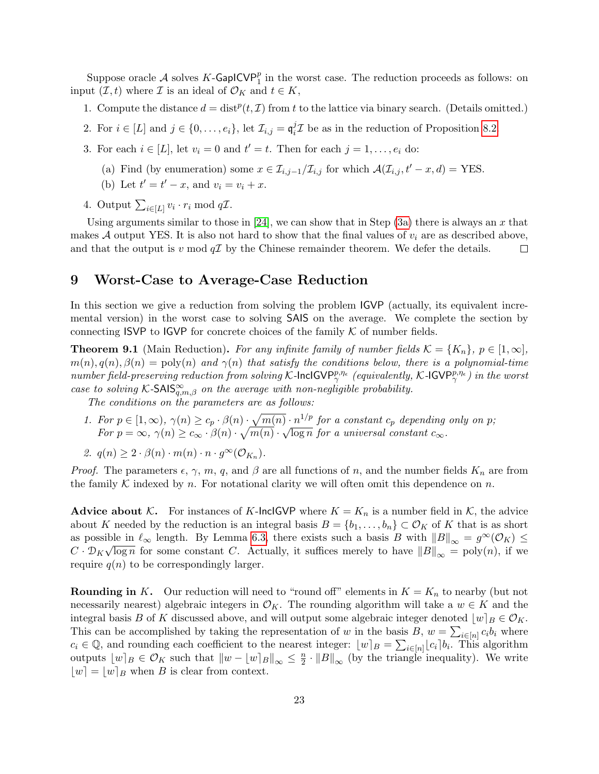Suppose oracle A solves K-GapICVP<sup>p</sup> in the worst case. The reduction proceeds as follows: on input  $(\mathcal{I}, t)$  where  $\mathcal{I}$  is an ideal of  $\mathcal{O}_K$  and  $t \in K$ ,

- 1. Compute the distance  $d = \text{dist}^p(t, \mathcal{I})$  from t to the lattice via binary search. (Details omitted.)
- 2. For  $i \in [L]$  and  $j \in \{0, \ldots, e_i\}$ , let  $\mathcal{I}_{i,j} = \mathfrak{q}_i^j$  $i^{\mathcal{I}}\mathcal{I}$  be as in the reduction of Proposition [8.2.](#page-20-0)
- <span id="page-22-0"></span>3. For each  $i \in [L]$ , let  $v_i = 0$  and  $t' = t$ . Then for each  $j = 1, \ldots, e_i$  do:
	- (a) Find (by enumeration) some  $x \in \mathcal{I}_{i,j-1}/\mathcal{I}_{i,j}$  for which  $\mathcal{A}(\mathcal{I}_{i,j}, t'-x, d) = \text{YES}.$
	- (b) Let  $t' = t' x$ , and  $v_i = v_i + x$ .
- 4. Output  $\sum_{i\in[L]} v_i \cdot r_i \mod q\mathcal{I}$ .

Using arguments similar to those in [\[24\]](#page-28-7), we can show that in Step [\(3a\)](#page-22-0) there is always an x that makes A output YES. It is also not hard to show that the final values of  $v_i$  are as described above, and that the output is v mod  $q\mathcal{I}$  by the Chinese remainder theorem. We defer the details.  $\Box$ 

# 9 Worst-Case to Average-Case Reduction

In this section we give a reduction from solving the problem IGVP (actually, its equivalent incremental version) in the worst case to solving SAIS on the average. We complete the section by connecting ISVP to IGVP for concrete choices of the family  $K$  of number fields.

<span id="page-22-1"></span>**Theorem 9.1** (Main Reduction). For any infinite family of number fields  $\mathcal{K} = \{K_n\}$ ,  $p \in [1, \infty]$ ,  $m(n)$ ,  $q(n)$ ,  $\beta(n) = \text{poly}(n)$  and  $\gamma(n)$  that satisfy the conditions below, there is a polynomial-time number field-preserving reduction from solving K-IncIGVP<sup>p, $\eta_{\epsilon}$ </sup> (equivalently, K-IGVP<sup>p, $\eta_{\epsilon}$ </sup>) in the worst case to solving K-SAIS $_{q,m,\beta}^{\infty}$  on the average with non-negligible probability.

The conditions on the parameters are as follows:

1. For  $p \in [1,\infty)$ ,  $\gamma(n) \geq c_p \cdot \beta(n) \cdot \sqrt{m(n)} \cdot n^{1/p}$  for a constant  $c_p$  depending only on p; For  $p = \infty$ ,  $\gamma(n) \geq c_{\infty} \cdot \beta(n) \cdot \sqrt{m(n)}$ . √  $\overline{\log n}$  for a universal constant  $c_{\infty}$ .

2. 
$$
q(n) \ge 2 \cdot \beta(n) \cdot m(n) \cdot n \cdot g^{\infty}(\mathcal{O}_{K_n}).
$$

*Proof.* The parameters  $\epsilon$ ,  $\gamma$ ,  $m$ ,  $q$ , and  $\beta$  are all functions of n, and the number fields  $K_n$  are from the family  $K$  indexed by n. For notational clarity we will often omit this dependence on n.

Advice about K. For instances of K-IncIGVP where  $K = K_n$  is a number field in K, the advice about K needed by the reduction is an integral basis  $B = \{b_1, \ldots, b_n\} \subset \mathcal{O}_K$  of K that is as short as possible in  $\ell_{\infty}$  length. By Lemma [6.3,](#page-14-0) there exists such a basis B with  $||B||_{\infty} = g^{\infty}(\mathcal{O}_K) \le$  $C \cdot \mathcal{D}_K \sqrt{\log n}$  for some constant C. Actually, it suffices merely to have  $||B||_{\infty} = \text{poly}(n)$ , if we require  $q(n)$  to be correspondingly larger.

**Rounding in** K. Our reduction will need to "round off" elements in  $K = K_n$  to nearby (but not necessarily nearest) algebraic integers in  $\mathcal{O}_K$ . The rounding algorithm will take a  $w \in K$  and the integral basis B of K discussed above, and will output some algebraic integer denoted  $|w|_B \in \mathcal{O}_K$ . This can be accomplished by taking the representation of w in the basis B,  $w = \sum_{i \in [n]} c_i b_i$  where  $c_i \in \mathbb{Q}$ , and rounding each coefficient to the nearest integer:  $\lfloor w \rfloor_B = \sum_{i \in [n]} \lfloor c_i \rfloor b_i$ . This algorithm outputs  $[w]_B \in \mathcal{O}_K$  such that  $\|w - [w]_B\|_{\infty} \leq \frac{n}{2}$  $\frac{n}{2} \cdot ||B||_{\infty}$  (by the triangle inequality). We write  $|w| = |w|_B$  when B is clear from context.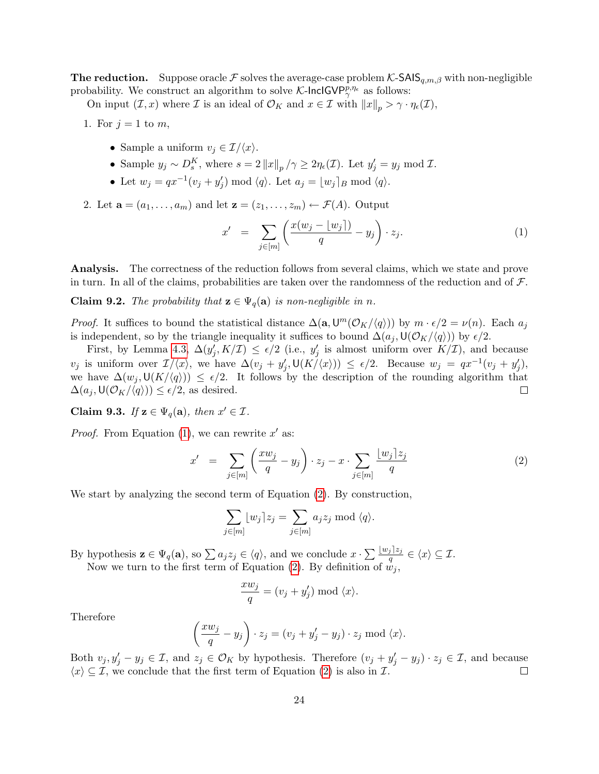**The reduction.** Suppose oracle F solves the average-case problem K-SAIS<sub>a,m,β</sub> with non-negligible probability. We construct an algorithm to solve  $\mathcal{K}\text{-}\textsf{InclGVP}^{p,\eta_{\epsilon}}_{\gamma}$  as follows:

On input  $(\mathcal{I}, x)$  where  $\mathcal I$  is an ideal of  $\mathcal O_K$  and  $x \in \mathcal I$  with  $||x||_p > \gamma \cdot \eta_\epsilon(\mathcal{I}),$ 

- 1. For  $j = 1$  to  $m$ ,
	- Sample a uniform  $v_i \in \mathcal{I}/\langle x \rangle$ .
	- Sample  $y_j \sim D_s^K$ , where  $s = 2 ||x||_p / \gamma \geq 2\eta_{\epsilon}(\mathcal{I})$ . Let  $y'_j = y_j \text{ mod } \mathcal{I}$ .
	- Let  $w_j = qx^{-1}(v_j + y'_j) \bmod \langle q \rangle$ . Let  $a_j = \lfloor w_j \rfloor_B \bmod \langle q \rangle$ .
- 2. Let  $\mathbf{a} = (a_1, \ldots, a_m)$  and let  $\mathbf{z} = (z_1, \ldots, z_m) \leftarrow \mathcal{F}(A)$ . Output

<span id="page-23-0"></span>
$$
x' = \sum_{j \in [m]} \left( \frac{x(w_j - \lfloor w_j \rfloor)}{q} - y_j \right) \cdot z_j. \tag{1}
$$

Analysis. The correctness of the reduction follows from several claims, which we state and prove in turn. In all of the claims, probabilities are taken over the randomness of the reduction and of  $\mathcal{F}$ .

<span id="page-23-2"></span>**Claim 9.2.** The probability that  $z \in \Psi_q(\mathbf{a})$  is non-negligible in n.

*Proof.* It suffices to bound the statistical distance  $\Delta(\mathbf{a}, \mathsf{U}^m(\mathcal{O}_K/\langle q\rangle))$  by  $m \cdot \epsilon/2 = \nu(n)$ . Each  $a_j$ is independent, so by the triangle inequality it suffices to bound  $\Delta(a_i, \mathsf{U}(\mathcal{O}_K/\langle q\rangle))$  by  $\epsilon/2$ .

First, by Lemma [4.3,](#page-9-1)  $\Delta(y'_j, K/\mathcal{I}) \leq \epsilon/2$  (i.e.,  $y'_j$  is almost uniform over  $K/\mathcal{I}$ ), and because  $v_j$  is uniform over  $\mathcal{I} / \langle x \rangle$ , we have  $\Delta(v_j + y'_j, \mathsf{U}(K/\langle x \rangle)) \leq \epsilon/2$ . Because  $w_j = qx^{-1}(v_j + y'_j)$ , we have  $\Delta(w_i, \mathsf{U}(K/\langle q\rangle)) \leq \epsilon/2$ . It follows by the description of the rounding algorithm that  $\Delta(a_j, \mathsf{U}(\mathcal{O}_K/\langle q \rangle)) \leq \epsilon/2$ , as desired.  $\Box$ 

Claim 9.3. If  $z \in \Psi_q(\mathbf{a})$ , then  $x' \in \mathcal{I}$ .

*Proof.* From Equation [\(1\)](#page-23-0), we can rewrite  $x'$  as:

<span id="page-23-1"></span>
$$
x' = \sum_{j \in [m]} \left( \frac{xw_j}{q} - y_j \right) \cdot z_j - x \cdot \sum_{j \in [m]} \frac{\lfloor w_j \rfloor z_j}{q} \tag{2}
$$

We start by analyzing the second term of Equation [\(2\)](#page-23-1). By construction,

$$
\sum_{j \in [m]} \lfloor w_j \rceil z_j = \sum_{j \in [m]} a_j z_j \bmod \langle q \rangle.
$$

By hypothesis  $\mathbf{z} \in \Psi_q(\mathbf{a}),$  so  $\sum a_j z_j \in \langle q \rangle$ , and we conclude  $x \cdot \sum \frac{\lfloor w_j \rfloor z_j}{q} \in \langle x \rangle \subseteq \mathcal{I}$ .

Now we turn to the first term of Equation [\(2\)](#page-23-1). By definition of  $w_i$ ,

$$
\frac{xw_j}{q} = (v_j + y'_j) \bmod \langle x \rangle.
$$

Therefore

$$
\left(\frac{xw_j}{q} - y_j\right) \cdot z_j = (v_j + y'_j - y_j) \cdot z_j \mod \langle x \rangle.
$$

Both  $v_j, y'_j - y_j \in \mathcal{I}$ , and  $z_j \in \mathcal{O}_K$  by hypothesis. Therefore  $(v_j + y'_j - y_j) \cdot z_j \in \mathcal{I}$ , and because  $\langle x \rangle \subseteq \mathcal{I}$ , we conclude that the first term of Equation [\(2\)](#page-23-1) is also in  $\mathcal{I}$ .  $\Box$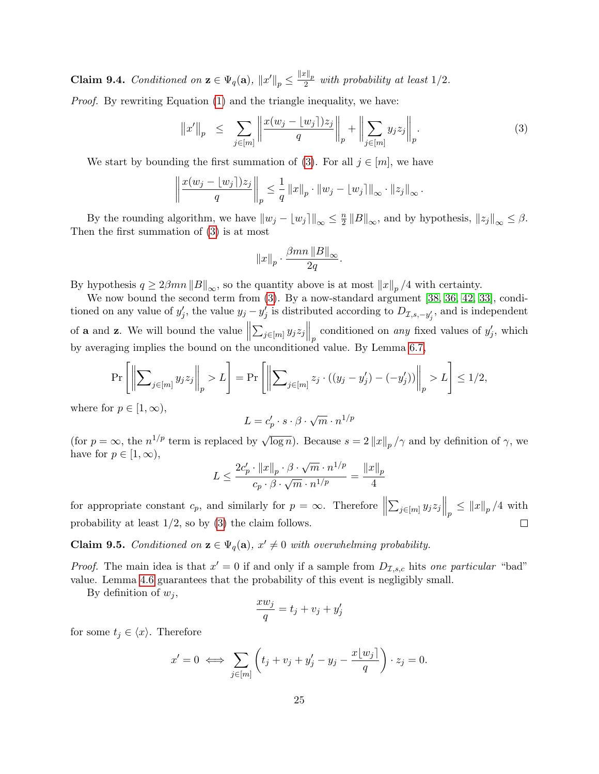<span id="page-24-1"></span>**Claim 9.4.** Conditioned on  $\mathbf{z} \in \Psi_q(\mathbf{a})$ ,  $||x'||_p \leq \frac{||x||_p}{2}$  $rac{v_{\parallel p}}{2}$  with probability at least  $1/2$ .

Proof. By rewriting Equation [\(1\)](#page-23-0) and the triangle inequality, we have:

<span id="page-24-0"></span>
$$
||x'||_p \leq \sum_{j \in [m]} \left\| \frac{x(w_j - \lfloor w_j \rfloor) z_j}{q} \right\|_p + \left\| \sum_{j \in [m]} y_j z_j \right\|_p.
$$
 (3)

We start by bounding the first summation of [\(3\)](#page-24-0). For all  $j \in [m]$ , we have

$$
\left\| \frac{x(w_j - \lfloor w_j \rfloor) z_j}{q} \right\|_p \leq \frac{1}{q} \left\| x \right\|_p \cdot \left\| w_j - \lfloor w_j \rfloor \right\|_\infty \cdot \left\| z_j \right\|_\infty.
$$

By the rounding algorithm, we have  $||w_j - \lfloor w_j |||_{\infty} \leq \frac{n}{2}$  $\frac{n}{2}$  ||B||<sub>∞</sub>, and by hypothesis,  $||z_j||_{\infty} \leq \beta$ . Then the first summation of [\(3\)](#page-24-0) is at most

$$
||x||_p \cdot \frac{\beta mn \, ||B||_{\infty}}{2q}.
$$

By hypothesis  $q \ge 2\beta mn ||B||_{\infty}$ , so the quantity above is at most  $||x||_p / 4$  with certainty.

We now bound the second term from  $(3)$ . By a now-standard argument [\[38,](#page-29-2) [36,](#page-29-7) [42,](#page-30-1) [33\]](#page-29-8), conditioned on any value of  $y'_j$ , the value  $y_j - y'_j$  is distributed according to  $D_{\mathcal{I},s,-y'_j}$ , and is independent of **a** and **z**. We will bound the value  $\parallel$  $\sum_{j\in[m]} y_j z_j \Big\|_p$  conditioned on any fixed values of  $y'_j$ , which by averaging implies the bound on the unconditioned value. By Lemma [6.7,](#page-17-0)

$$
\Pr\left[\left\|\sum\nolimits_{j\in[m]} y_jz_j\right\|_p > L\right] = \Pr\left[\left\|\sum\nolimits_{j\in[m]} z_j \cdot ((y_j - y_j') - (-y_j'))\right\|_p > L\right] \le 1/2,
$$

where for  $p \in [1,\infty)$ ,

$$
L = c'_p \cdot s \cdot \beta \cdot \sqrt{m} \cdot n^{1/p}
$$

(for  $p = \infty$ , the  $n^{1/p}$  term is replaced by  $\sqrt{\log n}$ ). Because  $s = 2 ||x||_p / \gamma$  and by definition of  $\gamma$ , we have for  $p \in [1,\infty)$ , √

$$
L \le \frac{2c'_p \cdot ||x||_p \cdot \beta \cdot \sqrt{m} \cdot n^{1/p}}{c_p \cdot \beta \cdot \sqrt{m} \cdot n^{1/p}} = \frac{||x||_p}{4}
$$

for appropriate constant  $c_p$ , and similarly for  $p = \infty$ . Therefore  $\parallel$  $\sum_{j\in[m]} y_j z_j \Big\|_p \leq \|x\|_p / 4$  with probability at least  $1/2$ , so by  $(3)$  the claim follows.  $\Box$ 

<span id="page-24-2"></span>**Claim 9.5.** Conditioned on  $z \in \Psi_q(\mathbf{a}), x' \neq 0$  with overwhelming probability.

*Proof.* The main idea is that  $x' = 0$  if and only if a sample from  $D_{\mathcal{I},s,c}$  hits one particular "bad" value. Lemma [4.6](#page-9-2) guarantees that the probability of this event is negligibly small.

By definition of  $w_j$ ,

$$
\frac{xw_j}{q} = t_j + v_j + y'_j
$$

for some  $t_j \in \langle x \rangle$ . Therefore

$$
x' = 0 \iff \sum_{j \in [m]} \left( t_j + v_j + y'_j - y_j - \frac{x \lfloor w_j \rfloor}{q} \right) \cdot z_j = 0.
$$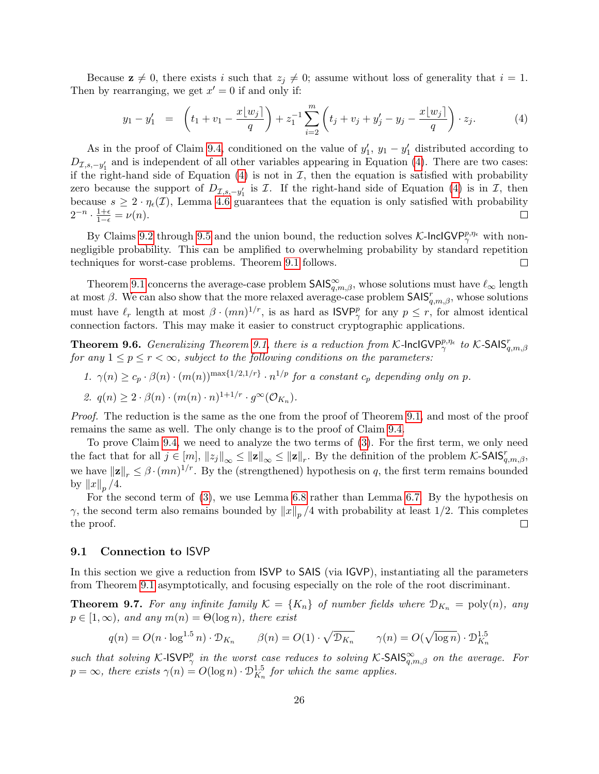Because  $z \neq 0$ , there exists i such that  $z_j \neq 0$ ; assume without loss of generality that  $i = 1$ . Then by rearranging, we get  $x' = 0$  if and only if:

<span id="page-25-0"></span>
$$
y_1 - y_1' = \left( t_1 + v_1 - \frac{x \lfloor w_j \rfloor}{q} \right) + z_1^{-1} \sum_{i=2}^m \left( t_j + v_j + y_j' - y_j - \frac{x \lfloor w_j \rfloor}{q} \right) \cdot z_j. \tag{4}
$$

As in the proof of Claim [9.4,](#page-24-1) conditioned on the value of  $y'_1$ ,  $y_1 - y'_1$  distributed according to  $D_{\mathcal{I},s,-y'_1}$  and is independent of all other variables appearing in Equation [\(4\)](#page-25-0). There are two cases: if the right-hand side of Equation [\(4\)](#page-25-0) is not in  $\mathcal{I}$ , then the equation is satisfied with probability zero because the support of  $D_{\mathcal{I},s,-y'_1}$  is  $\mathcal{I}$ . If the right-hand side of Equation [\(4\)](#page-25-0) is in  $\mathcal{I}$ , then because  $s \geq 2 \cdot \eta_{\epsilon}(\mathcal{I})$ , Lemma [4.6](#page-9-2) guarantees that the equation is only satisfied with probability  $2^{-n} \cdot \frac{1+\epsilon}{1-\epsilon} = \nu(n).$ П

By Claims [9.2](#page-23-2) through [9.5](#page-24-2) and the union bound, the reduction solves K-InclGVP $_{\gamma}^{p,\eta_{\epsilon}}$  with nonnegligible probability. This can be amplified to overwhelming probability by standard repetition techniques for worst-case problems. Theorem [9.1](#page-22-1) follows.  $\Box$ 

Theorem [9.1](#page-22-1) concerns the average-case problem  $\mathsf{SAIS}_{q,m,\beta}^{\infty}$ , whose solutions must have  $\ell_{\infty}$  length at most  $\beta$ . We can also show that the more relaxed average-case problem SAIS $_{q,m,\beta}^r$ , whose solutions must have  $\ell_r$  length at most  $\beta \cdot (mn)^{1/r}$ , is as hard as  $\mathsf{ISVP}_\gamma^p$  for any  $p \leq r$ , for almost identical connection factors. This may make it easier to construct cryptographic applications.

**Theorem 9.6.** Generalizing Theorem [9.1,](#page-22-1) there is a reduction from K-InclGVP<sup>p, $\eta_{\epsilon}$ </sup> to K-SAIS $_{q,m,\beta}^{r}$ for any  $1 \leq p \leq r < \infty$ , subject to the following conditions on the parameters:

- 1.  $\gamma(n) \geq c_p \cdot \beta(n) \cdot (m(n))^{\max\{1/2,1/r\}} \cdot n^{1/p}$  for a constant  $c_p$  depending only on p.
- 2.  $q(n) \geq 2 \cdot \beta(n) \cdot (m(n) \cdot n)^{1+1/r} \cdot g^{\infty}(\mathcal{O}_{K_n}).$

Proof. The reduction is the same as the one from the proof of Theorem [9.1,](#page-22-1) and most of the proof remains the same as well. The only change is to the proof of Claim [9.4.](#page-24-1)

To prove Claim [9.4,](#page-24-1) we need to analyze the two terms of [\(3\)](#page-24-0). For the first term, we only need the fact that for all  $j \in [m]$ ,  $||z_j||_{\infty} \le ||z||_{\infty} \le ||z||_r$ . By the definition of the problem K-SAIS $_{q,m,\beta}^r$ , we have  $||\mathbf{z}||_r \leq \beta \cdot (mn)^{1/r}$ . By the (strengthened) hypothesis on q, the first term remains bounded by  $||x||_p / 4$ .

For the second term of [\(3\)](#page-24-0), we use Lemma [6.8](#page-17-1) rather than Lemma [6.7.](#page-17-0) By the hypothesis on  $\gamma$ , the second term also remains bounded by  $||x||_p / 4$  with probability at least 1/2. This completes the proof.  $\Box$ 

#### 9.1 Connection to ISVP

In this section we give a reduction from ISVP to SAIS (via IGVP), instantiating all the parameters from Theorem [9.1](#page-22-1) asymptotically, and focusing especially on the role of the root discriminant.

<span id="page-25-1"></span>**Theorem 9.7.** For any infinite family  $K = \{K_n\}$  of number fields where  $\mathcal{D}_{K_n} = \text{poly}(n)$ , any  $p \in [1,\infty)$ , and any  $m(n) = \Theta(\log n)$ , there exist

$$
q(n) = O(n \cdot \log^{1.5} n) \cdot \mathcal{D}_{K_n} \qquad \beta(n) = O(1) \cdot \sqrt{\mathcal{D}_{K_n}} \qquad \gamma(n) = O(\sqrt{\log n}) \cdot \mathcal{D}_{K_n}^{1.5}
$$

such that solving K-ISVP<sup>p</sup><sub>7</sub> in the worst case reduces to solving K-SAIS<sup>∞</sup><sub>q,m, $\beta$ </sub> on the average. For  $p = \infty$ , there exists  $\gamma(n) = O(\log n) \cdot \mathcal{D}_{K_n}^{1.5}$  for which the same applies.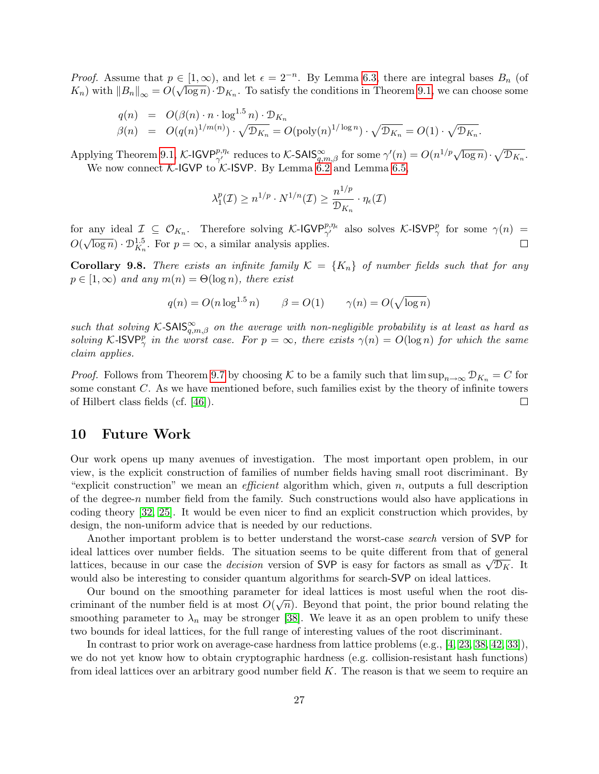*Proof.* Assume that  $p \in [1,\infty)$ , and let  $\epsilon = 2^{-n}$ . By Lemma [6.3,](#page-14-0) there are integral bases  $B_n$  (of  $K_n$ ) with  $||B_n||_{\infty} = O(\sqrt{\log n}) \cdot \mathcal{D}_{K_n}$ . To satisfy the conditions in Theorem [9.1,](#page-22-1) we can choose some

$$
q(n) = O(\beta(n) \cdot n \cdot \log^{1.5} n) \cdot \mathcal{D}_{K_n}
$$
  
\n
$$
\beta(n) = O(q(n)^{1/m(n)}) \cdot \sqrt{\mathcal{D}_{K_n}} = O(\text{poly}(n)^{1/\log n}) \cdot \sqrt{\mathcal{D}_{K_n}} = O(1) \cdot \sqrt{\mathcal{D}_{K_n}}.
$$

Applying Theorem [9.1,](#page-22-1) K-IGVP<sup>p,η<sub>ε</sub></sup> reduces to K-SAIS<sup>∞</sup><sub>q,m,β</sub> for some  $\gamma'(n) = O(n^{1/p}\sqrt{\log n}) \cdot \sqrt{\mathcal{D}_{K_n}}$ . We now connect  $K$ -IGVP to  $K$ -ISVP. By Lemma [6.2](#page-14-1) and Lemma [6.5,](#page-15-0)

$$
\lambda_1^p(\mathcal{I}) \ge n^{1/p} \cdot N^{1/n}(\mathcal{I}) \ge \frac{n^{1/p}}{\mathcal{D}_{K_n}} \cdot \eta_{\epsilon}(\mathcal{I})
$$

for any ideal  $\mathcal{I} \subseteq \mathcal{O}_{K_n}$ . Therefore solving K-IGVP $_{\gamma'}^{p,\eta_{\epsilon}}$  also solves K-ISVP $_{\gamma}^p$  for some  $\gamma(n)$  = O(  $\sqrt{\log n}$  ·  $\mathcal{D}_{K_n}^{1.5}$ . For  $p = \infty$ , a similar analysis applies.

**Corollary 9.8.** There exists an infinite family  $K = \{K_n\}$  of number fields such that for any  $p \in [1,\infty)$  and any  $m(n) = \Theta(\log n)$ , there exist

$$
q(n) = O(n \log^{1.5} n) \qquad \beta = O(1) \qquad \gamma(n) = O(\sqrt{\log n})
$$

such that solving K-SAIS $_{q,m,\beta}^{\infty}$  on the average with non-negligible probability is at least as hard as solving K-ISVP<sup>p</sup> in the worst case. For  $p = \infty$ , there exists  $\gamma(n) = O(\log n)$  for which the same claim applies.

*Proof.* Follows from Theorem [9.7](#page-25-1) by choosing K to be a family such that  $\limsup_{n\to\infty} \mathcal{D}_{K_n} = C$  for some constant C. As we have mentioned before, such families exist by the theory of infinite towers of Hilbert class fields (cf. [\[46\]](#page-30-2)).  $\Box$ 

# <span id="page-26-0"></span>10 Future Work

Our work opens up many avenues of investigation. The most important open problem, in our view, is the explicit construction of families of number fields having small root discriminant. By "explicit construction" we mean an *efficient* algorithm which, given  $n$ , outputs a full description of the degree-n number field from the family. Such constructions would also have applications in coding theory [\[32,](#page-29-15) [25\]](#page-28-16). It would be even nicer to find an explicit construction which provides, by design, the non-uniform advice that is needed by our reductions.

Another important problem is to better understand the worst-case search version of SVP for ideal lattices over number fields. The situation seems to be quite different from that of general lattices, because in our case the *decision* version of SVP is easy for factors as small as  $\sqrt{\mathcal{D}_K}$ . It lattices, because in our case the *decision* version of SVP is easy for factors as small as  $\sqrt{\mathcal{D}_K}$ . would also be interesting to consider quantum algorithms for search-SVP on ideal lattices.

Our bound on the smoothing parameter for ideal lattices is most useful when the root discriminant of the number field is at most  $O(\sqrt{n})$ . Beyond that point, the prior bound relating the smoothing parameter to  $\lambda_n$  may be stronger [\[38\]](#page-29-2). We leave it as an open problem to unify these two bounds for ideal lattices, for the full range of interesting values of the root discriminant.

In contrast to prior work on average-case hardness from lattice problems (e.g., [\[4,](#page-27-0) [23,](#page-28-10) [38,](#page-29-2) [42,](#page-30-1) [33\]](#page-29-8)), we do not yet know how to obtain cryptographic hardness (e.g. collision-resistant hash functions) from ideal lattices over an arbitrary good number field  $K$ . The reason is that we seem to require an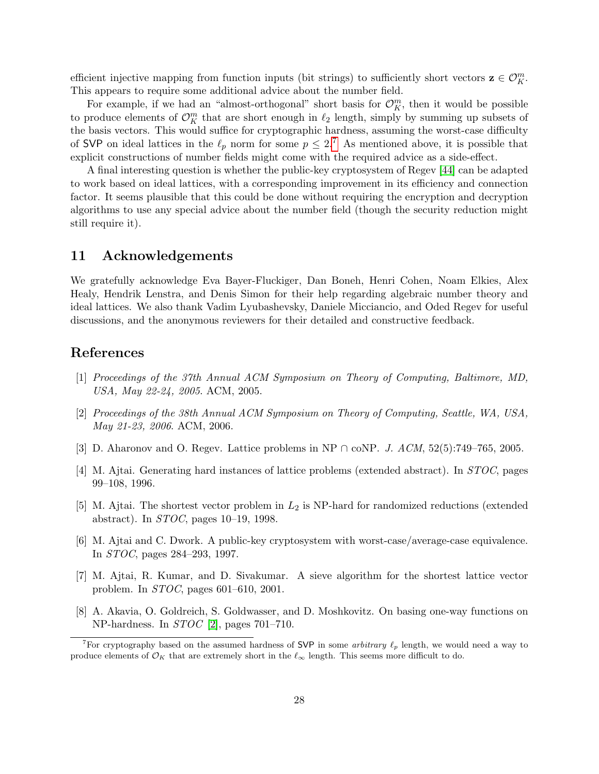efficient injective mapping from function inputs (bit strings) to sufficiently short vectors  $\mathbf{z} \in \mathcal{O}_{K}^{m}$ . This appears to require some additional advice about the number field.

For example, if we had an "almost-orthogonal" short basis for  $\mathcal{O}_K^m$ , then it would be possible to produce elements of  $\mathcal{O}_K^m$  that are short enough in  $\ell_2$  length, simply by summing up subsets of the basis vectors. This would suffice for cryptographic hardness, assuming the worst-case difficulty of SVP on ideal lattices in the  $\ell_p$  norm for some  $p \leq 2$ .<sup>[7](#page-27-6)</sup> As mentioned above, it is possible that explicit constructions of number fields might come with the required advice as a side-effect.

A final interesting question is whether the public-key cryptosystem of Regev [\[44\]](#page-30-7) can be adapted to work based on ideal lattices, with a corresponding improvement in its efficiency and connection factor. It seems plausible that this could be done without requiring the encryption and decryption algorithms to use any special advice about the number field (though the security reduction might still require it).

### 11 Acknowledgements

We gratefully acknowledge Eva Bayer-Fluckiger, Dan Boneh, Henri Cohen, Noam Elkies, Alex Healy, Hendrik Lenstra, and Denis Simon for their help regarding algebraic number theory and ideal lattices. We also thank Vadim Lyubashevsky, Daniele Micciancio, and Oded Regev for useful discussions, and the anonymous reviewers for their detailed and constructive feedback.

## References

- <span id="page-27-8"></span>[1] Proceedings of the 37th Annual ACM Symposium on Theory of Computing, Baltimore, MD, USA, May 22-24, 2005. ACM, 2005.
- <span id="page-27-7"></span>[2] Proceedings of the 38th Annual ACM Symposium on Theory of Computing, Seattle, WA, USA, May 21-23, 2006. ACM, 2006.
- <span id="page-27-3"></span>[3] D. Aharonov and O. Regev. Lattice problems in NP  $\cap$  coNP. J. ACM, 52(5):749–765, 2005.
- <span id="page-27-0"></span>[4] M. Ajtai. Generating hard instances of lattice problems (extended abstract). In STOC, pages 99–108, 1996.
- <span id="page-27-2"></span>[5] M. Ajtai. The shortest vector problem in  $L_2$  is NP-hard for randomized reductions (extended abstract). In STOC, pages 10–19, 1998.
- <span id="page-27-5"></span>[6] M. Ajtai and C. Dwork. A public-key cryptosystem with worst-case/average-case equivalence. In STOC, pages 284–293, 1997.
- <span id="page-27-1"></span>[7] M. Ajtai, R. Kumar, and D. Sivakumar. A sieve algorithm for the shortest lattice vector problem. In STOC, pages 601–610, 2001.
- <span id="page-27-4"></span>[8] A. Akavia, O. Goldreich, S. Goldwasser, and D. Moshkovitz. On basing one-way functions on NP-hardness. In STOC [\[2\]](#page-27-7), pages 701–710.

<span id="page-27-6"></span><sup>&</sup>lt;sup>7</sup>For cryptography based on the assumed hardness of SVP in some *arbitrary*  $\ell_p$  length, we would need a way to produce elements of  $\mathcal{O}_K$  that are extremely short in the  $\ell_{\infty}$  length. This seems more difficult to do.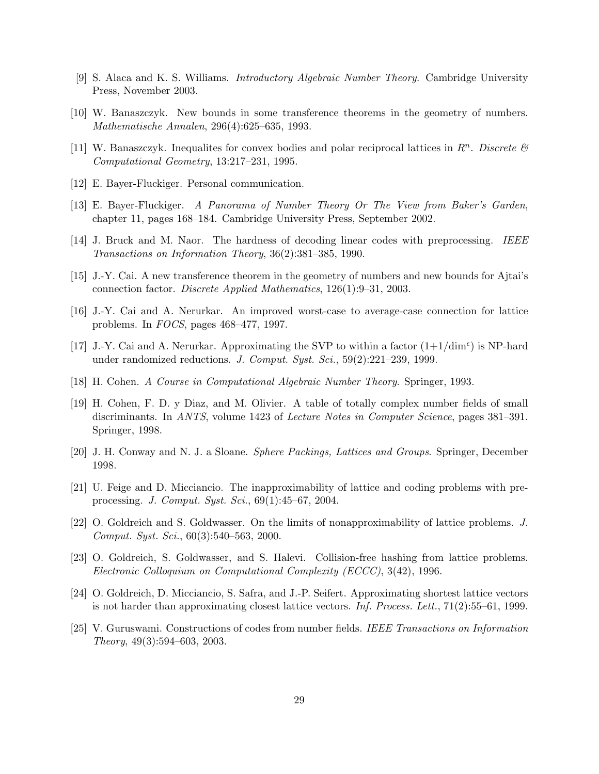- <span id="page-28-14"></span>[9] S. Alaca and K. S. Williams. Introductory Algebraic Number Theory. Cambridge University Press, November 2003.
- <span id="page-28-8"></span>[10] W. Banaszczyk. New bounds in some transference theorems in the geometry of numbers. Mathematische Annalen, 296(4):625–635, 1993.
- <span id="page-28-9"></span>[11] W. Banaszczyk. Inequalites for convex bodies and polar reciprocal lattices in  $R^n$ . Discrete  $\mathcal{C}$ Computational Geometry, 13:217–231, 1995.
- <span id="page-28-6"></span>[12] E. Bayer-Fluckiger. Personal communication.
- <span id="page-28-12"></span>[13] E. Bayer-Fluckiger. A Panorama of Number Theory Or The View from Baker's Garden, chapter 11, pages 168–184. Cambridge University Press, September 2002.
- <span id="page-28-4"></span>[14] J. Bruck and M. Naor. The hardness of decoding linear codes with preprocessing. IEEE Transactions on Information Theory, 36(2):381–385, 1990.
- <span id="page-28-13"></span>[15] J.-Y. Cai. A new transference theorem in the geometry of numbers and new bounds for Ajtai's connection factor. Discrete Applied Mathematics, 126(1):9–31, 2003.
- <span id="page-28-0"></span>[16] J.-Y. Cai and A. Nerurkar. An improved worst-case to average-case connection for lattice problems. In FOCS, pages 468–477, 1997.
- <span id="page-28-1"></span>[17] J.-Y. Cai and A. Nerurkar. Approximating the SVP to within a factor  $(1+1/\text{dim}^{\epsilon})$  is NP-hard under randomized reductions. J. Comput. Syst. Sci., 59(2):221-239, 1999.
- <span id="page-28-15"></span>[18] H. Cohen. A Course in Computational Algebraic Number Theory. Springer, 1993.
- <span id="page-28-3"></span>[19] H. Cohen, F. D. y Diaz, and M. Olivier. A table of totally complex number fields of small discriminants. In ANTS, volume 1423 of Lecture Notes in Computer Science, pages 381–391. Springer, 1998.
- <span id="page-28-11"></span>[20] J. H. Conway and N. J. a Sloane. Sphere Packings, Lattices and Groups. Springer, December 1998.
- <span id="page-28-5"></span>[21] U. Feige and D. Micciancio. The inapproximability of lattice and coding problems with preprocessing. J. Comput. Syst. Sci., 69(1):45–67, 2004.
- <span id="page-28-2"></span>[22] O. Goldreich and S. Goldwasser. On the limits of nonapproximability of lattice problems. J. Comput. Syst. Sci., 60(3):540–563, 2000.
- <span id="page-28-10"></span>[23] O. Goldreich, S. Goldwasser, and S. Halevi. Collision-free hashing from lattice problems. Electronic Colloquium on Computational Complexity (ECCC), 3(42), 1996.
- <span id="page-28-7"></span>[24] O. Goldreich, D. Micciancio, S. Safra, and J.-P. Seifert. Approximating shortest lattice vectors is not harder than approximating closest lattice vectors. Inf. Process. Lett., 71(2):55–61, 1999.
- <span id="page-28-16"></span>[25] V. Guruswami. Constructions of codes from number fields. IEEE Transactions on Information Theory, 49(3):594–603, 2003.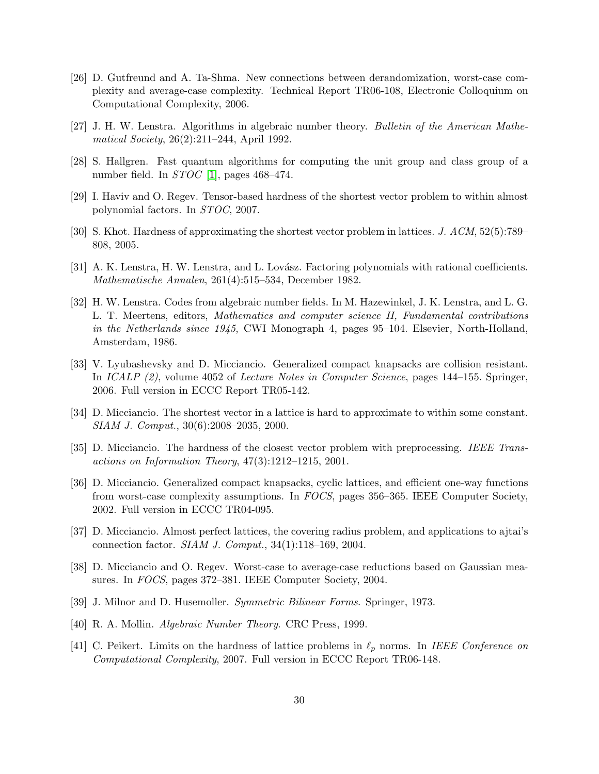- <span id="page-29-6"></span>[26] D. Gutfreund and A. Ta-Shma. New connections between derandomization, worst-case complexity and average-case complexity. Technical Report TR06-108, Electronic Colloquium on Computational Complexity, 2006.
- <span id="page-29-14"></span>[27] J. H. W. Lenstra. Algorithms in algebraic number theory. Bulletin of the American Mathematical Society, 26(2):211–244, April 1992.
- <span id="page-29-10"></span>[28] S. Hallgren. Fast quantum algorithms for computing the unit group and class group of a number field. In *STOC* [\[1\]](#page-27-8), pages 468–474.
- <span id="page-29-5"></span>[29] I. Haviv and O. Regev. Tensor-based hardness of the shortest vector problem to within almost polynomial factors. In STOC, 2007.
- <span id="page-29-4"></span>[30] S. Khot. Hardness of approximating the shortest vector problem in lattices. J. ACM, 52(5):789– 808, 2005.
- <span id="page-29-0"></span>[31] A. K. Lenstra, H. W. Lenstra, and L. Lovász. Factoring polynomials with rational coefficients. Mathematische Annalen, 261(4):515–534, December 1982.
- <span id="page-29-15"></span>[32] H. W. Lenstra. Codes from algebraic number fields. In M. Hazewinkel, J. K. Lenstra, and L. G. L. T. Meertens, editors, Mathematics and computer science II, Fundamental contributions in the Netherlands since 1945, CWI Monograph 4, pages 95–104. Elsevier, North-Holland, Amsterdam, 1986.
- <span id="page-29-8"></span>[33] V. Lyubashevsky and D. Micciancio. Generalized compact knapsacks are collision resistant. In ICALP (2), volume 4052 of Lecture Notes in Computer Science, pages 144–155. Springer, 2006. Full version in ECCC Report TR05-142.
- <span id="page-29-3"></span>[34] D. Micciancio. The shortest vector in a lattice is hard to approximate to within some constant. SIAM J. Comput., 30(6):2008–2035, 2000.
- <span id="page-29-9"></span>[35] D. Micciancio. The hardness of the closest vector problem with preprocessing. IEEE Transactions on Information Theory, 47(3):1212–1215, 2001.
- <span id="page-29-7"></span>[36] D. Micciancio. Generalized compact knapsacks, cyclic lattices, and efficient one-way functions from worst-case complexity assumptions. In FOCS, pages 356–365. IEEE Computer Society, 2002. Full version in ECCC TR04-095.
- <span id="page-29-1"></span>[37] D. Micciancio. Almost perfect lattices, the covering radius problem, and applications to ajtai's connection factor. SIAM J. Comput., 34(1):118–169, 2004.
- <span id="page-29-2"></span>[38] D. Micciancio and O. Regev. Worst-case to average-case reductions based on Gaussian measures. In FOCS, pages 372–381. IEEE Computer Society, 2004.
- <span id="page-29-11"></span>[39] J. Milnor and D. Husemoller. Symmetric Bilinear Forms. Springer, 1973.
- <span id="page-29-13"></span>[40] R. A. Mollin. Algebraic Number Theory. CRC Press, 1999.
- <span id="page-29-12"></span>[41] C. Peikert. Limits on the hardness of lattice problems in  $\ell_p$  norms. In IEEE Conference on Computational Complexity, 2007. Full version in ECCC Report TR06-148.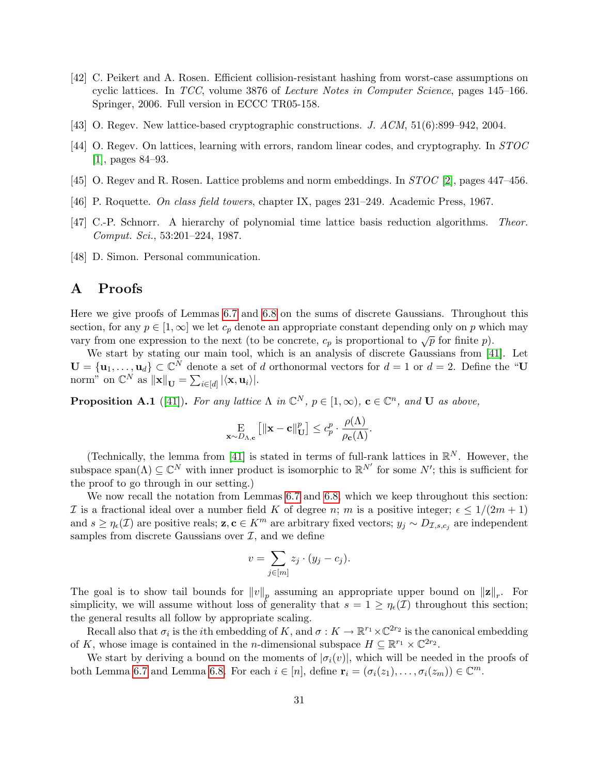- <span id="page-30-1"></span>[42] C. Peikert and A. Rosen. Efficient collision-resistant hashing from worst-case assumptions on cyclic lattices. In TCC, volume 3876 of Lecture Notes in Computer Science, pages 145–166. Springer, 2006. Full version in ECCC TR05-158.
- <span id="page-30-4"></span>[43] O. Regev. New lattice-based cryptographic constructions. J. ACM, 51(6):899–942, 2004.
- <span id="page-30-7"></span>[44] O. Regev. On lattices, learning with errors, random linear codes, and cryptography. In STOC [\[1\]](#page-27-8), pages 84–93.
- <span id="page-30-5"></span>[45] O. Regev and R. Rosen. Lattice problems and norm embeddings. In STOC [\[2\]](#page-27-7), pages 447–456.
- <span id="page-30-2"></span>[46] P. Roquette. On class field towers, chapter IX, pages 231–249. Academic Press, 1967.
- <span id="page-30-0"></span>[47] C.-P. Schnorr. A hierarchy of polynomial time lattice basis reduction algorithms. Theor. Comput. Sci., 53:201–224, 1987.
- <span id="page-30-3"></span>[48] D. Simon. Personal communication.

## <span id="page-30-6"></span>A Proofs

Here we give proofs of Lemmas [6.7](#page-17-0) and [6.8](#page-17-1) on the sums of discrete Gaussians. Throughout this section, for any  $p \in [1,\infty]$  we let  $c_p$  denote an appropriate constant depending only on p which may vary from one expression to the next (to be concrete,  $c_p$  is proportional to  $\sqrt{p}$  for finite p).

We start by stating our main tool, which is an analysis of discrete Gaussians from [\[41\]](#page-29-12). Let  $\mathbf{U} = {\mathbf{u}_1, \dots, \mathbf{u}_d} \subset \mathbb{C}^N$  denote a set of d orthonormal vectors for  $d = 1$  or  $d = 2$ . Define the "U norm" on  $\mathbb{C}^N$  as  $\|\mathbf{x}\|_{\mathbf{U}} = \sum_{i \in [d]} |\langle \mathbf{x}, \mathbf{u}_i \rangle|$ .

<span id="page-30-8"></span>**Proposition A.1** ([\[41\]](#page-29-12)). For any lattice  $\Lambda$  in  $\mathbb{C}^N$ ,  $p \in [1,\infty)$ ,  $\mathbf{c} \in \mathbb{C}^n$ , and **U** as above,

$$
\underset{\mathbf{x} \sim D_{\Lambda, \mathbf{c}}}{\mathrm{E}} \left[ \|\mathbf{x} - \mathbf{c}\|_{\mathbf{U}}^p \right] \leq c_p^p \cdot \frac{\rho(\Lambda)}{\rho_{\mathbf{c}}(\Lambda)}.
$$

(Technically, the lemma from [\[41\]](#page-29-12) is stated in terms of full-rank lattices in  $\mathbb{R}^N$ . However, the subspace span( $\Lambda$ )  $\subseteq \mathbb{C}^N$  with inner product is isomorphic to  $\mathbb{R}^{N'}$  for some  $N'$ ; this is sufficient for the proof to go through in our setting.)

We now recall the notation from Lemmas [6.7](#page-17-0) and [6.8,](#page-17-1) which we keep throughout this section: I is a fractional ideal over a number field K of degree n; m is a positive integer;  $\epsilon \leq 1/(2m+1)$ and  $s \geq \eta_{\epsilon}(\mathcal{I})$  are positive reals;  $z, c \in K^m$  are arbitrary fixed vectors;  $y_j \sim D_{\mathcal{I},s,c_j}$  are independent samples from discrete Gaussians over  $\mathcal{I}$ , and we define

$$
v = \sum_{j \in [m]} z_j \cdot (y_j - c_j).
$$

The goal is to show tail bounds for  $||v||_p$  assuming an appropriate upper bound on  $||\mathbf{z}||_r$ . For simplicity, we will assume without loss of generality that  $s = 1 \geq \eta_{\epsilon}(\mathcal{I})$  throughout this section; the general results all follow by appropriate scaling.

Recall also that  $\sigma_i$  is the *i*th embedding of K, and  $\sigma: K \to \mathbb{R}^{r_1} \times \mathbb{C}^{2r_2}$  is the canonical embedding of K, whose image is contained in the *n*-dimensional subspace  $H \subseteq \mathbb{R}^{r_1} \times \mathbb{C}^{2r_2}$ .

<span id="page-30-9"></span>We start by deriving a bound on the moments of  $|\sigma_i(v)|$ , which will be needed in the proofs of both Lemma [6.7](#page-17-0) and Lemma [6.8.](#page-17-1) For each  $i \in [n]$ , define  $\mathbf{r}_i = (\sigma_i(z_1), \dots, \sigma_i(z_m)) \in \mathbb{C}^m$ .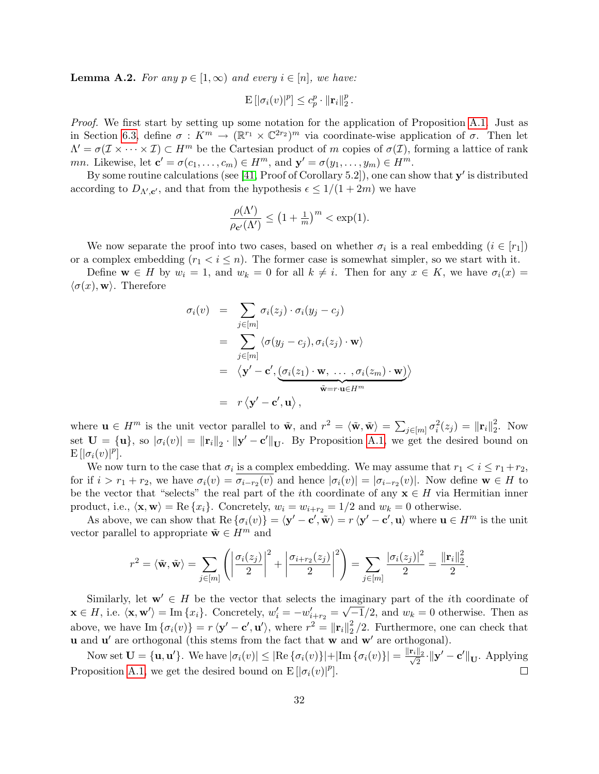**Lemma A.2.** For any  $p \in [1,\infty)$  and every  $i \in [n]$ , we have:

$$
\mathrm{E}\left[|\sigma_i(v)|^p\right] \leq c_p^p \cdot \|\mathbf{r}_i\|_2^p.
$$

Proof. We first start by setting up some notation for the application of Proposition [A.1.](#page-30-8) Just as in Section [6.3,](#page-16-1) define  $\sigma: K^m \to (\mathbb{R}^{r_1} \times \mathbb{C}^{2r_2})^m$  via coordinate-wise application of  $\sigma$ . Then let  $\Lambda' = \sigma(\mathcal{I} \times \cdots \times \mathcal{I}) \subset H^m$  be the Cartesian product of m copies of  $\sigma(\mathcal{I})$ , forming a lattice of rank mn. Likewise, let  $\mathbf{c}' = \sigma(c_1, \ldots, c_m) \in H^m$ , and  $\mathbf{y}' = \sigma(y_1, \ldots, y_m) \in H^m$ .

By some routine calculations (see [\[41,](#page-29-12) Proof of Corollary 5.2]), one can show that  $y'$  is distributed according to  $D_{\Lambda',\mathbf{c}'},$  and that from the hypothesis  $\epsilon \leq 1/(1+2m)$  we have

$$
\frac{\rho(\Lambda')}{\rho_{\mathbf{c}'}(\Lambda')} \le (1 + \frac{1}{m})^m < \exp(1).
$$

We now separate the proof into two cases, based on whether  $\sigma_i$  is a real embedding  $(i \in [r_1])$ or a complex embedding  $(r_1 < i \leq n)$ . The former case is somewhat simpler, so we start with it.

Define  $\mathbf{w} \in H$  by  $w_i = 1$ , and  $w_k = 0$  for all  $k \neq i$ . Then for any  $x \in K$ , we have  $\sigma_i(x) =$  $\langle \sigma(x), \mathbf{w} \rangle$ . Therefore

$$
\sigma_i(v) = \sum_{j \in [m]} \sigma_i(z_j) \cdot \sigma_i(y_j - c_j)
$$
  
\n
$$
= \sum_{j \in [m]} \langle \sigma(y_j - c_j), \sigma_i(z_j) \cdot \mathbf{w} \rangle
$$
  
\n
$$
= \langle \mathbf{y'} - \mathbf{c'}, \underbrace{(\sigma_i(z_1) \cdot \mathbf{w}, \dots, \sigma_i(z_m) \cdot \mathbf{w})}_{\tilde{\mathbf{w}} = r \cdot \mathbf{u} \in H^m} \rangle
$$
  
\n
$$
= r \langle \mathbf{y'} - \mathbf{c'}, \mathbf{u} \rangle,
$$

where  $\mathbf{u} \in H^m$  is the unit vector parallel to  $\tilde{\mathbf{w}}$ , and  $r^2 = \langle \tilde{\mathbf{w}}, \tilde{\mathbf{w}} \rangle = \sum_{j \in [m]} \sigma_i^2(z_j) = ||\mathbf{r}_i||_2^2$  $\frac{2}{2}$ . Now set  $\mathbf{U} = {\mathbf{u}},$  so  $|\sigma_i(v)| = ||\mathbf{r}_i||_2 \cdot ||\mathbf{y}' - \mathbf{c}'||_{\mathbf{U}}$ . By Proposition [A.1,](#page-30-8) we get the desired bound on  $\mathrm{E}\left[|\sigma_i(v)|^p\right].$ 

We now turn to the case that  $\sigma_i$  is a complex embedding. We may assume that  $r_1 < i \leq r_1 + r_2$ , for if  $i > r_1 + r_2$ , we have  $\sigma_i(v) = \sigma_{i-r_2}(v)$  and hence  $|\sigma_i(v)| = |\sigma_{i-r_2}(v)|$ . Now define  $\mathbf{w} \in H$  to be the vector that "selects" the real part of the *i*th coordinate of any  $x \in H$  via Hermitian inner product, i.e.,  $\langle \mathbf{x}, \mathbf{w} \rangle = \text{Re} \{x_i\}.$  Concretely,  $w_i = w_{i+r_2} = 1/2$  and  $w_k = 0$  otherwise.

As above, we can show that  $\text{Re}\{\sigma_i(v)\} = \langle \mathbf{y}' - \mathbf{c}', \tilde{\mathbf{w}} \rangle = r \langle \mathbf{y}' - \mathbf{c}', \mathbf{u} \rangle$  where  $\mathbf{u} \in H^m$  is the unit vector parallel to appropriate  $\tilde{\mathbf{w}} \in H^m$  and

$$
r^{2} = \langle \tilde{\mathbf{w}}, \tilde{\mathbf{w}} \rangle = \sum_{j \in [m]} \left( \left| \frac{\sigma_{i}(z_{j})}{2} \right|^{2} + \left| \frac{\sigma_{i+r_{2}}(z_{j})}{2} \right|^{2} \right) = \sum_{j \in [m]} \frac{|\sigma_{i}(z_{j})|^{2}}{2} = \frac{\|\mathbf{r}_{i}\|_{2}^{2}}{2}.
$$

Similarly, let  $w' \in H$  be the vector that selects the imaginary part of the *i*th coordinate of  $\mathbf{x} \in H$ , i.e.  $\langle \mathbf{x}, \mathbf{w}' \rangle = \text{Im} \{x_i\}$ . Concretely,  $w'_i = -w'_{i+r_2} = \sqrt{-1}/2$ , and  $w_k = 0$  otherwise. Then as above, we have  $\text{Im}\{\sigma_i(v)\} = r\langle \mathbf{y}' - \mathbf{c}', \mathbf{u}' \rangle$ , where  $r^2 = ||\mathbf{r}_i||_2^2$  $\frac{2}{2}$ /2. Furthermore, one can check that **u** and  $\mathbf{u}'$  are orthogonal (this stems from the fact that **w** and  $\mathbf{w}'$  are orthogonal).

Now set  $\mathbf{U} = {\mathbf{u}, \mathbf{u}'}.$  We have  $|\sigma_i(v)| \leq |\text{Re} \{\sigma_i(v)\}| + |\text{Im} \{\sigma_i(v)\}| = \frac{\|\mathbf{r}_i\|_2}{\sqrt{2}} \cdot ||\mathbf{y}' - \mathbf{c}'||_{\mathbf{U}}$ . Applying Proposition [A.1,](#page-30-8) we get the desired bound on  $\mathbb{E} [|\sigma_i(v)|^p]$ .  $\Box$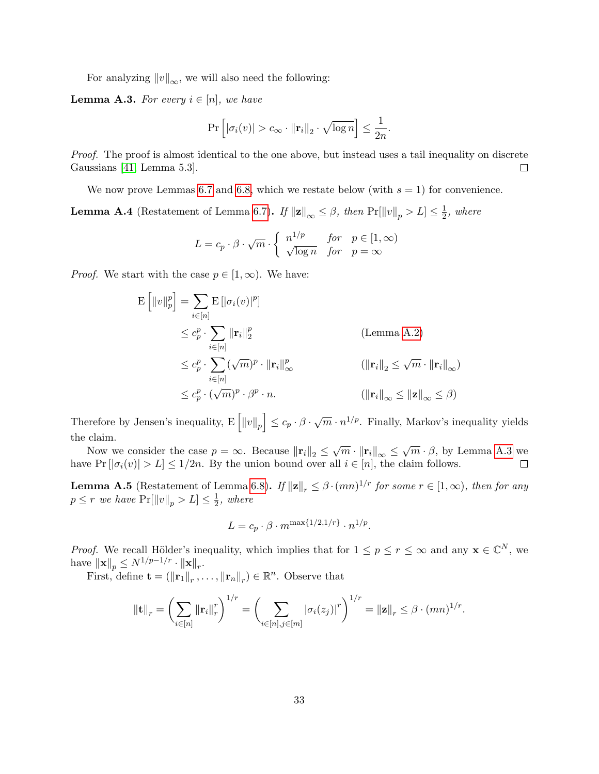For analyzing  $||v||_{\infty}$ , we will also need the following:

<span id="page-32-0"></span>**Lemma A.3.** For every  $i \in [n]$ , we have

$$
\Pr\left[|\sigma_i(v)| > c_\infty \cdot \|\mathbf{r}_i\|_2 \cdot \sqrt{\log n}\right] \le \frac{1}{2n}.
$$

Proof. The proof is almost identical to the one above, but instead uses a tail inequality on discrete  $\Box$ Gaussians [\[41,](#page-29-12) Lemma 5.3].

We now prove Lemmas [6.7](#page-17-0) and [6.8,](#page-17-1) which we restate below (with  $s = 1$ ) for convenience.

**Lemma A.4** (Restatement of Lemma [6.7\)](#page-17-0). If  $||\mathbf{z}||_{\infty} \leq \beta$ , then  $\Pr[||v||_p > L] \leq \frac{1}{2}$  $\frac{1}{2}$ , where

$$
L = c_p \cdot \beta \cdot \sqrt{m} \cdot \begin{cases} n^{1/p} & \text{for} \quad p \in [1, \infty) \\ \sqrt{\log n} & \text{for} \quad p = \infty \end{cases}
$$

*Proof.* We start with the case  $p \in [1,\infty)$ . We have:

E

$$
\begin{aligned}\n\left[ \left\| v \right\|_p^p \right] &= \sum_{i \in [n]} \mathbf{E} \left[ |\sigma_i(v)|^p \right] \\
&\leq c_p^p \cdot \sum_{i \in [n]} \left\| \mathbf{r}_i \right\|_2^p \qquad \text{(Lemma A.2)} \\
&\leq c_p^p \cdot \sum_{i \in [n]} (\sqrt{m})^p \cdot \left\| \mathbf{r}_i \right\|_\infty^p \qquad \text{(}\left\| \mathbf{r}_i \right\|_2 \leq \sqrt{m} \cdot \left\| \mathbf{r}_i \right\|_\infty) \\
&\leq c_p^p \cdot (\sqrt{m})^p \cdot \beta^p \cdot n. \qquad \left( \left\| \mathbf{r}_i \right\|_\infty \leq \left\| \mathbf{z} \right\|_\infty \leq \beta \right)\n\end{aligned}
$$

Therefore by Jensen's inequality,  $E\left[\|v\|_p\right] \leq c_p \cdot \beta \cdot \sqrt{m} \cdot n^{1/p}$ . Finally, Markov's inequality yields the claim.

Now we consider the case  $p = \infty$ . Because  $\left\|\mathbf{r}_i\right\|_2 \leq \sqrt{m} \cdot \left\|\mathbf{r}_i\right\|_{\infty} \leq \sqrt{m} \cdot \beta$ , by Lemma [A.3](#page-32-0) we have  $Pr [|\sigma_i(v)| > L] \leq 1/2n$ . By the union bound over all  $i \in [n]$ , the claim follows.  $\Box$ 

**Lemma A.5** (Restatement of Lemma [6.8\)](#page-17-1). If  $||\mathbf{z}||_r \leq \beta \cdot (mn)^{1/r}$  for some  $r \in [1, \infty)$ , then for any  $p \leq r$  we have  $\Pr[\Vert v \Vert_p > L] \leq \frac{1}{2}$  $\frac{1}{2}$ , where

$$
L = c_p \cdot \beta \cdot m^{\max\{1/2, 1/r\}} \cdot n^{1/p}.
$$

*Proof.* We recall Hölder's inequality, which implies that for  $1 \le p \le r \le \infty$  and any  $\mathbf{x} \in \mathbb{C}^N$ , we have  $\|\mathbf{x}\|_p \le N^{1/p-1/r} \cdot \|\mathbf{x}\|_r$ .

First, define  $\mathbf{t} = (\|\mathbf{r}_1\|_r, \ldots, \|\mathbf{r}_n\|_r) \in \mathbb{R}^n$ . Observe that

$$
\|\mathbf{t}\|_{r} = \left(\sum_{i\in[n]} \|\mathbf{r}_{i}\|_{r}^{r}\right)^{1/r} = \left(\sum_{i\in[n],j\in[m]} |\sigma_{i}(z_{j})|^{r}\right)^{1/r} = \|\mathbf{z}\|_{r} \leq \beta \cdot (mn)^{1/r}.
$$